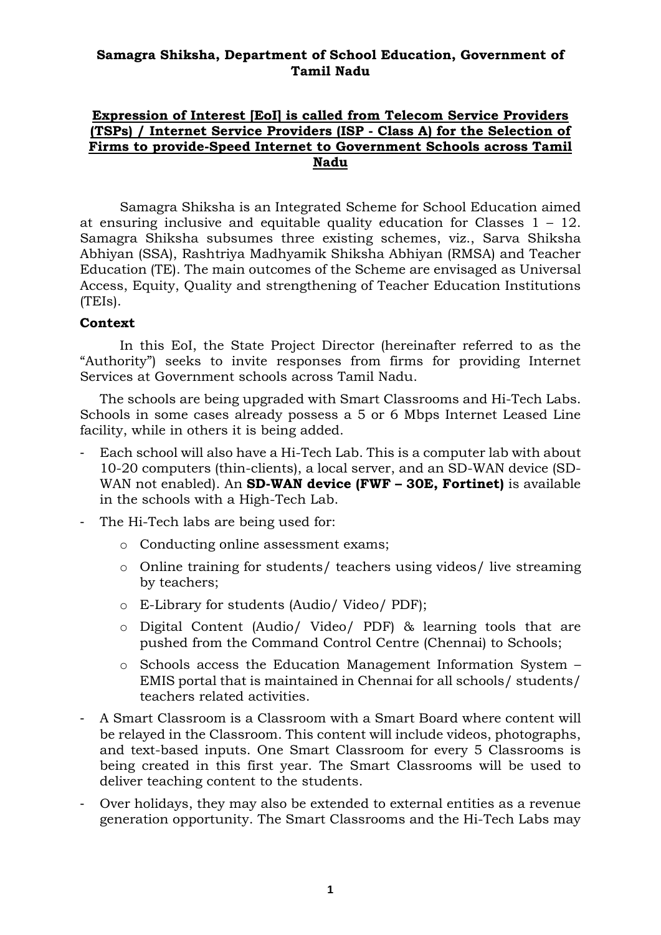### **Samagra Shiksha, Department of School Education, Government of Tamil Nadu**

### **Expression of Interest [EoI] is called from Telecom Service Providers (TSPs) / Internet Service Providers (ISP - Class A) for the Selection of Firms to provide-Speed Internet to Government Schools across Tamil Nadu**

Samagra Shiksha is an Integrated Scheme for School Education aimed at ensuring inclusive and equitable quality education for Classes 1 – 12. Samagra Shiksha subsumes three existing schemes, viz., Sarva Shiksha Abhiyan (SSA), Rashtriya Madhyamik Shiksha Abhiyan (RMSA) and Teacher Education (TE). The main outcomes of the Scheme are envisaged as Universal Access, Equity, Quality and strengthening of Teacher Education Institutions (TEIs).

### **Context**

In this EoI, the State Project Director (hereinafter referred to as the "Authority") seeks to invite responses from firms for providing Internet Services at Government schools across Tamil Nadu.

The schools are being upgraded with Smart Classrooms and Hi-Tech Labs. Schools in some cases already possess a 5 or 6 Mbps Internet Leased Line facility, while in others it is being added.

- Each school will also have a Hi-Tech Lab. This is a computer lab with about 10-20 computers (thin-clients), a local server, and an SD-WAN device (SD-WAN not enabled). An **SD-WAN device (FWF – 30E, Fortinet)** is available in the schools with a High-Tech Lab.
- The Hi-Tech labs are being used for:
	- o Conducting online assessment exams;
	- o Online training for students/ teachers using videos/ live streaming by teachers;
	- o E-Library for students (Audio/ Video/ PDF);
	- o Digital Content (Audio/ Video/ PDF) & learning tools that are pushed from the Command Control Centre (Chennai) to Schools;
	- o Schools access the Education Management Information System EMIS portal that is maintained in Chennai for all schools/ students/ teachers related activities.
- A Smart Classroom is a Classroom with a Smart Board where content will be relayed in the Classroom. This content will include videos, photographs, and text-based inputs. One Smart Classroom for every 5 Classrooms is being created in this first year. The Smart Classrooms will be used to deliver teaching content to the students.
- Over holidays, they may also be extended to external entities as a revenue generation opportunity. The Smart Classrooms and the Hi-Tech Labs may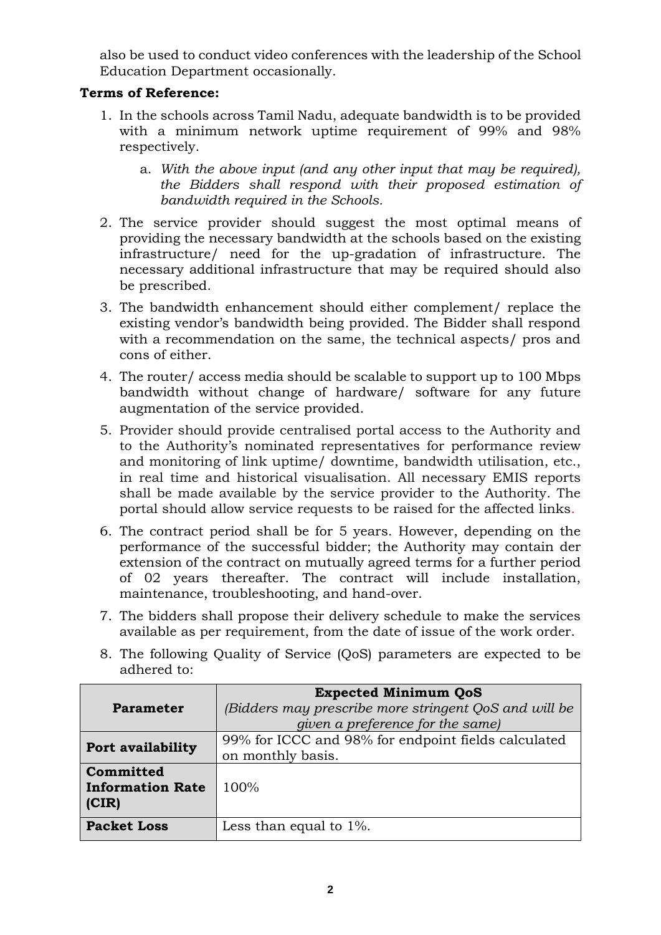also be used to conduct video conferences with the leadership of the School Education Department occasionally.

# **Terms of Reference:**

- 1. In the schools across Tamil Nadu, adequate bandwidth is to be provided with a minimum network uptime requirement of 99% and 98% respectively.
	- a. *With the above input (and any other input that may be required), the Bidders shall respond with their proposed estimation of bandwidth required in the Schools.*
- 2. The service provider should suggest the most optimal means of providing the necessary bandwidth at the schools based on the existing infrastructure/ need for the up-gradation of infrastructure. The necessary additional infrastructure that may be required should also be prescribed.
- 3. The bandwidth enhancement should either complement/ replace the existing vendor's bandwidth being provided. The Bidder shall respond with a recommendation on the same, the technical aspects/ pros and cons of either.
- 4. The router/ access media should be scalable to support up to 100 Mbps bandwidth without change of hardware/ software for any future augmentation of the service provided.
- 5. Provider should provide centralised portal access to the Authority and to the Authority's nominated representatives for performance review and monitoring of link uptime/ downtime, bandwidth utilisation, etc., in real time and historical visualisation. All necessary EMIS reports shall be made available by the service provider to the Authority. The portal should allow service requests to be raised for the affected links.
- 6. The contract period shall be for 5 years. However, depending on the performance of the successful bidder; the Authority may contain der extension of the contract on mutually agreed terms for a further period of 02 years thereafter. The contract will include installation, maintenance, troubleshooting, and hand-over.
- 7. The bidders shall propose their delivery schedule to make the services available as per requirement, from the date of issue of the work order.
- 8. The following Quality of Service (QoS) parameters are expected to be adhered to:

|                         | <b>Expected Minimum QoS</b>                           |
|-------------------------|-------------------------------------------------------|
| <b>Parameter</b>        | (Bidders may prescribe more stringent QoS and will be |
|                         | given a preference for the same)                      |
| Port availability       | 99% for ICCC and 98% for endpoint fields calculated   |
|                         | on monthly basis.                                     |
| Committed               |                                                       |
| <b>Information Rate</b> | 100%                                                  |
| (CIR)                   |                                                       |
| <b>Packet Loss</b>      | Less than equal to $1\%$ .                            |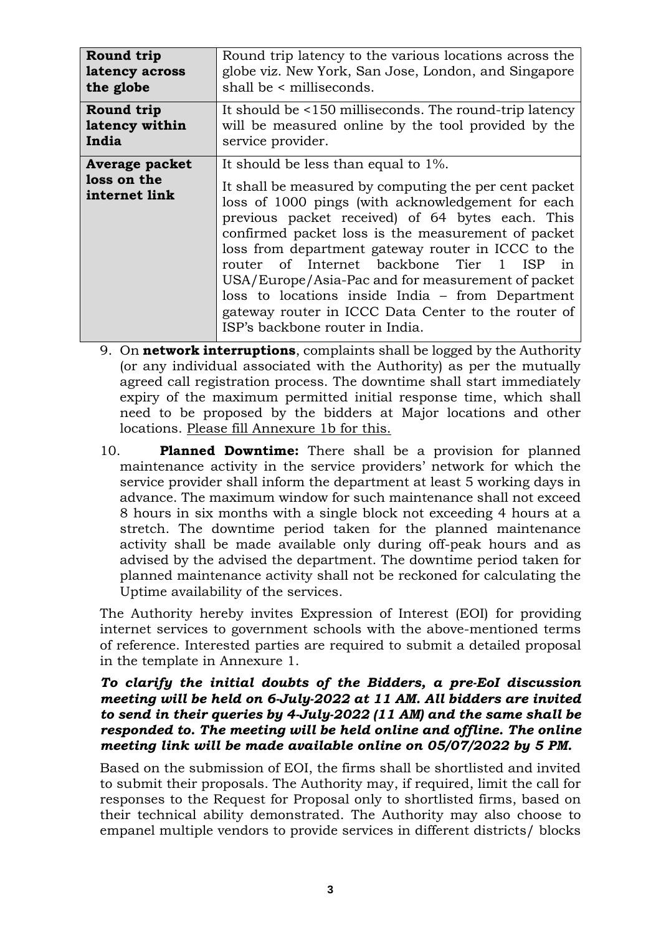| Round trip                                            | Round trip latency to the various locations across the                                                                                                                                                                                                                                                                                                                                                                                                                                                                                                                  |
|-------------------------------------------------------|-------------------------------------------------------------------------------------------------------------------------------------------------------------------------------------------------------------------------------------------------------------------------------------------------------------------------------------------------------------------------------------------------------------------------------------------------------------------------------------------------------------------------------------------------------------------------|
| latency across                                        | globe viz. New York, San Jose, London, and Singapore                                                                                                                                                                                                                                                                                                                                                                                                                                                                                                                    |
| the globe                                             | shall be < milliseconds.                                                                                                                                                                                                                                                                                                                                                                                                                                                                                                                                                |
| Round trip                                            | It should be <150 milliseconds. The round-trip latency                                                                                                                                                                                                                                                                                                                                                                                                                                                                                                                  |
| latency within                                        | will be measured online by the tool provided by the                                                                                                                                                                                                                                                                                                                                                                                                                                                                                                                     |
| India                                                 | service provider.                                                                                                                                                                                                                                                                                                                                                                                                                                                                                                                                                       |
| <b>Average packet</b><br>loss on the<br>internet link | It should be less than equal to 1%.<br>It shall be measured by computing the per cent packet<br>loss of 1000 pings (with acknowledgement for each<br>previous packet received) of 64 bytes each. This<br>confirmed packet loss is the measurement of packet<br>loss from department gateway router in ICCC to the<br>router of Internet backbone Tier 1<br>ISP<br>in<br>USA/Europe/Asia-Pac and for measurement of packet<br>loss to locations inside India – from Department<br>gateway router in ICCC Data Center to the router of<br>ISP's backbone router in India. |

- 9. On **network interruptions**, complaints shall be logged by the Authority (or any individual associated with the Authority) as per the mutually agreed call registration process. The downtime shall start immediately expiry of the maximum permitted initial response time, which shall need to be proposed by the bidders at Major locations and other locations. Please fill Annexure 1b for this.
- 10. **Planned Downtime:** There shall be a provision for planned maintenance activity in the service providers' network for which the service provider shall inform the department at least 5 working days in advance. The maximum window for such maintenance shall not exceed 8 hours in six months with a single block not exceeding 4 hours at a stretch. The downtime period taken for the planned maintenance activity shall be made available only during off-peak hours and as advised by the advised the department. The downtime period taken for planned maintenance activity shall not be reckoned for calculating the Uptime availability of the services.

The Authority hereby invites Expression of Interest (EOI) for providing internet services to government schools with the above-mentioned terms of reference. Interested parties are required to submit a detailed proposal in the template in Annexure 1.

### *To clarify the initial doubts of the Bidders, a pre-EoI discussion meeting will be held on 6-July-2022 at 11 AM. All bidders are invited to send in their queries by 4-July-2022 (11 AM) and the same shall be responded to. The meeting will be held online and offline. The online meeting link will be made available online on 05/07/2022 by 5 PM.*

Based on the submission of EOI, the firms shall be shortlisted and invited to submit their proposals. The Authority may, if required, limit the call for responses to the Request for Proposal only to shortlisted firms, based on their technical ability demonstrated. The Authority may also choose to empanel multiple vendors to provide services in different districts/ blocks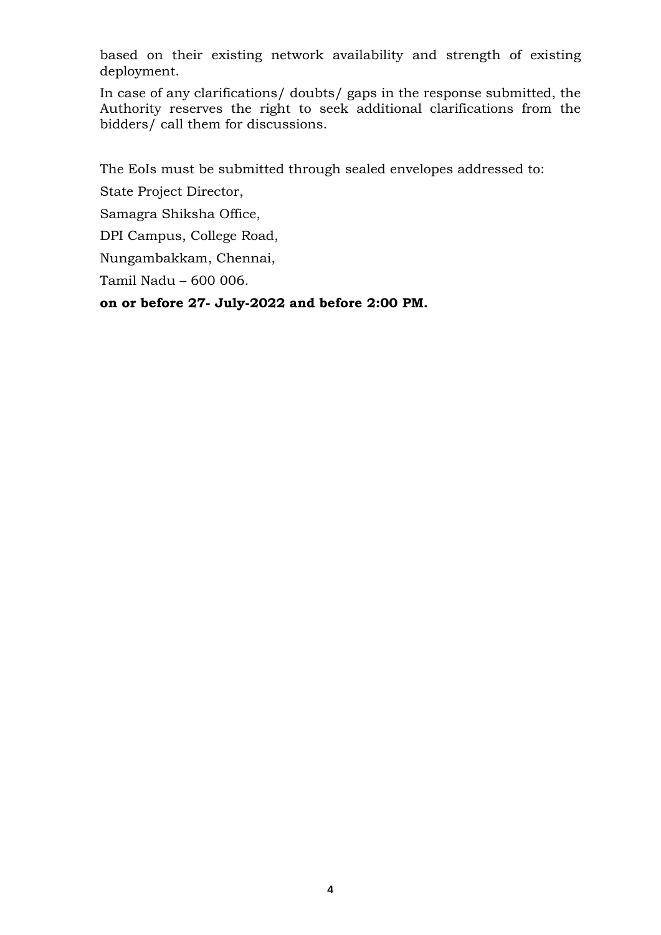based on their existing network availability and strength of existing deployment.

In case of any clarifications/ doubts/ gaps in the response submitted, the Authority reserves the right to seek additional clarifications from the bidders/ call them for discussions.

The EoIs must be submitted through sealed envelopes addressed to:

State Project Director,

Samagra Shiksha Office,

DPI Campus, College Road,

Nungambakkam, Chennai,

Tamil Nadu – 600 006.

**on or before 27- July-2022 and before 2:00 PM.**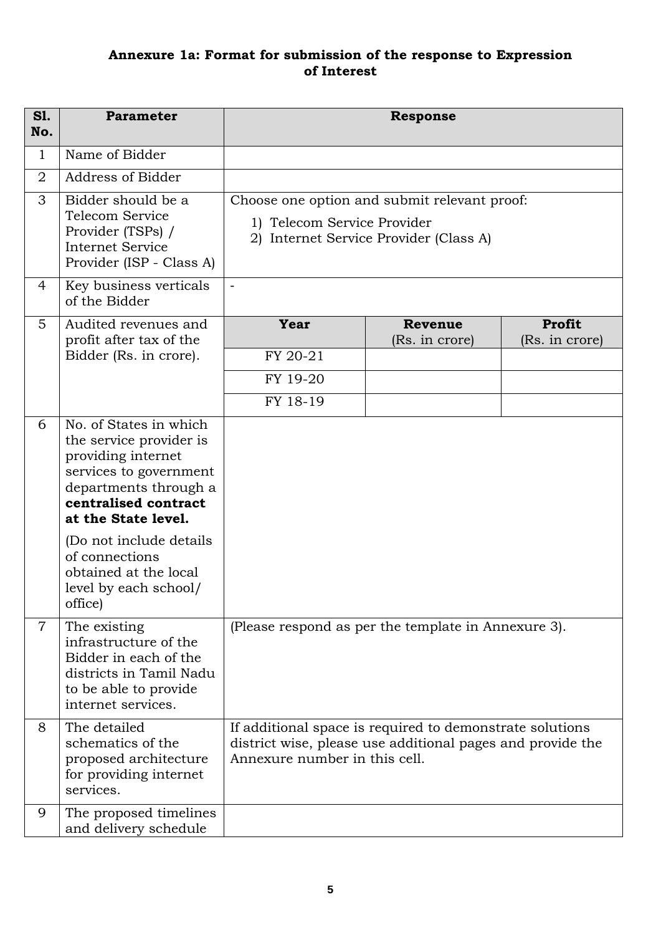# **Annexure 1a: Format for submission of the response to Expression of Interest**

| <b>S1.</b><br>No. | <b>Parameter</b>                                                                                                                                                                                      |                                          | <b>Response</b>                                                                                                        |                          |
|-------------------|-------------------------------------------------------------------------------------------------------------------------------------------------------------------------------------------------------|------------------------------------------|------------------------------------------------------------------------------------------------------------------------|--------------------------|
| $\mathbf{1}$      | Name of Bidder                                                                                                                                                                                        |                                          |                                                                                                                        |                          |
| $\overline{2}$    | Address of Bidder                                                                                                                                                                                     |                                          |                                                                                                                        |                          |
| 3                 | Bidder should be a<br><b>Telecom Service</b><br>Provider (TSPs) /<br><b>Internet Service</b><br>Provider (ISP - Class A)                                                                              | 1) Telecom Service Provider              | Choose one option and submit relevant proof:<br>2) Internet Service Provider (Class A)                                 |                          |
| 4                 | Key business verticals<br>of the Bidder                                                                                                                                                               | $\overline{\phantom{a}}$                 |                                                                                                                        |                          |
| 5                 | Audited revenues and<br>profit after tax of the<br>Bidder (Rs. in crore).                                                                                                                             | Year<br>FY 20-21<br>FY 19-20<br>FY 18-19 | <b>Revenue</b><br>(Rs. in crore)                                                                                       | Profit<br>(Rs. in crore) |
| 6                 | No. of States in which<br>the service provider is<br>providing internet<br>services to government<br>departments through a<br>centralised contract<br>at the State level.<br>(Do not include details) |                                          |                                                                                                                        |                          |
|                   | of connections<br>obtained at the local<br>level by each school/<br>office)                                                                                                                           |                                          |                                                                                                                        |                          |
| $\overline{7}$    | The existing<br>infrastructure of the<br>Bidder in each of the<br>districts in Tamil Nadu<br>to be able to provide<br>internet services.                                                              |                                          | (Please respond as per the template in Annexure 3).                                                                    |                          |
| 8                 | The detailed<br>schematics of the<br>proposed architecture<br>for providing internet<br>services.                                                                                                     | Annexure number in this cell.            | If additional space is required to demonstrate solutions<br>district wise, please use additional pages and provide the |                          |
| 9                 | The proposed timelines<br>and delivery schedule                                                                                                                                                       |                                          |                                                                                                                        |                          |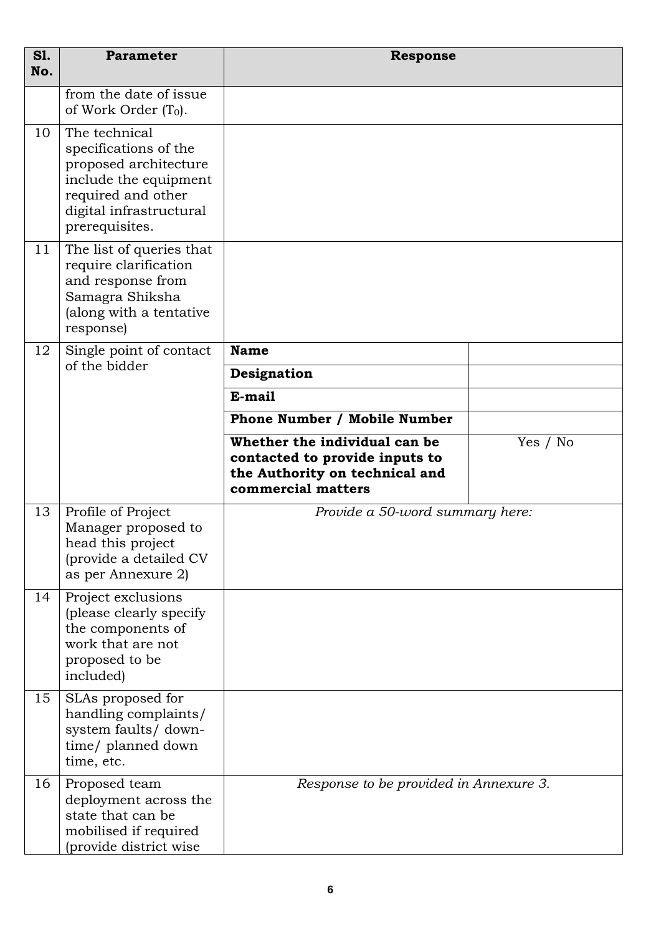| <b>S1.</b><br>No. | <b>Parameter</b>                                                                                                                                            | <b>Response</b>                                                                                                         |          |
|-------------------|-------------------------------------------------------------------------------------------------------------------------------------------------------------|-------------------------------------------------------------------------------------------------------------------------|----------|
|                   | from the date of issue<br>of Work Order $(T_0)$ .                                                                                                           |                                                                                                                         |          |
| 10                | The technical<br>specifications of the<br>proposed architecture<br>include the equipment<br>required and other<br>digital infrastructural<br>prerequisites. |                                                                                                                         |          |
| 11                | The list of queries that<br>require clarification<br>and response from<br>Samagra Shiksha<br>(along with a tentative<br>response)                           |                                                                                                                         |          |
| 12                | Single point of contact<br>of the bidder                                                                                                                    | <b>Name</b>                                                                                                             |          |
|                   |                                                                                                                                                             | Designation                                                                                                             |          |
|                   |                                                                                                                                                             | E-mail                                                                                                                  |          |
|                   |                                                                                                                                                             | <b>Phone Number / Mobile Number</b>                                                                                     |          |
|                   |                                                                                                                                                             | Whether the individual can be<br>contacted to provide inputs to<br>the Authority on technical and<br>commercial matters | Yes / No |
| 13                | Profile of Project<br>Manager proposed to<br>head this project<br>(provide a detailed CV<br>as per Annexure 2)                                              | Provide a 50-word summary here:                                                                                         |          |
| 14                | Project exclusions<br>(please clearly specify)<br>the components of<br>work that are not<br>proposed to be<br>included)                                     |                                                                                                                         |          |
| 15                | SLAs proposed for<br>handling complaints/<br>system faults/ down-<br>time/ planned down<br>time, etc.                                                       |                                                                                                                         |          |
| 16                | Proposed team<br>deployment across the<br>state that can be<br>mobilised if required<br>(provide district wise                                              | Response to be provided in Annexure 3.                                                                                  |          |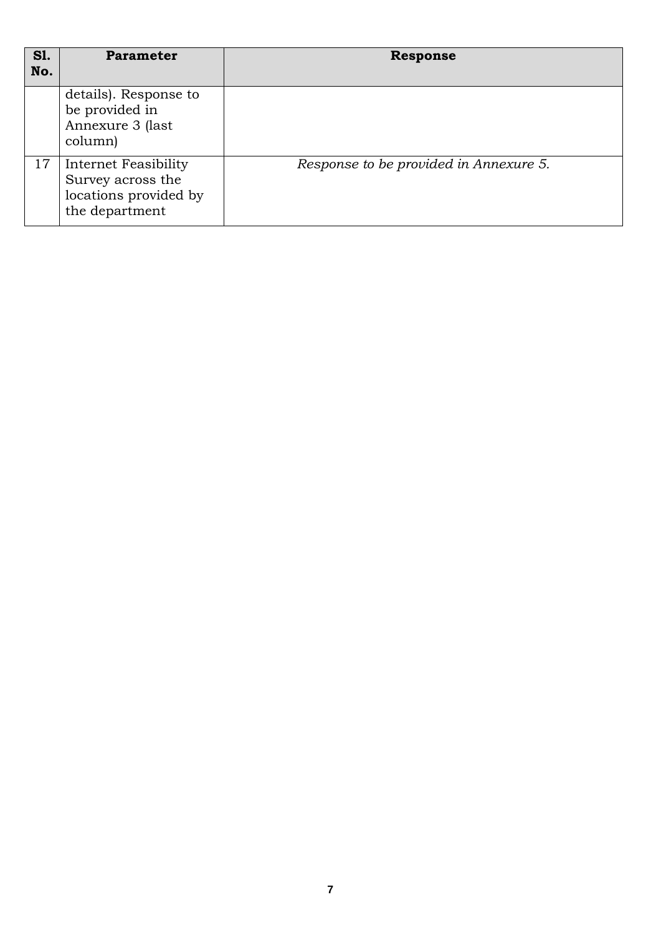| S1.<br>No. | <b>Parameter</b>                                                                     | <b>Response</b>                        |
|------------|--------------------------------------------------------------------------------------|----------------------------------------|
|            | details). Response to<br>be provided in<br>Annexure 3 (last<br>column)               |                                        |
| 17         | Internet Feasibility<br>Survey across the<br>locations provided by<br>the department | Response to be provided in Annexure 5. |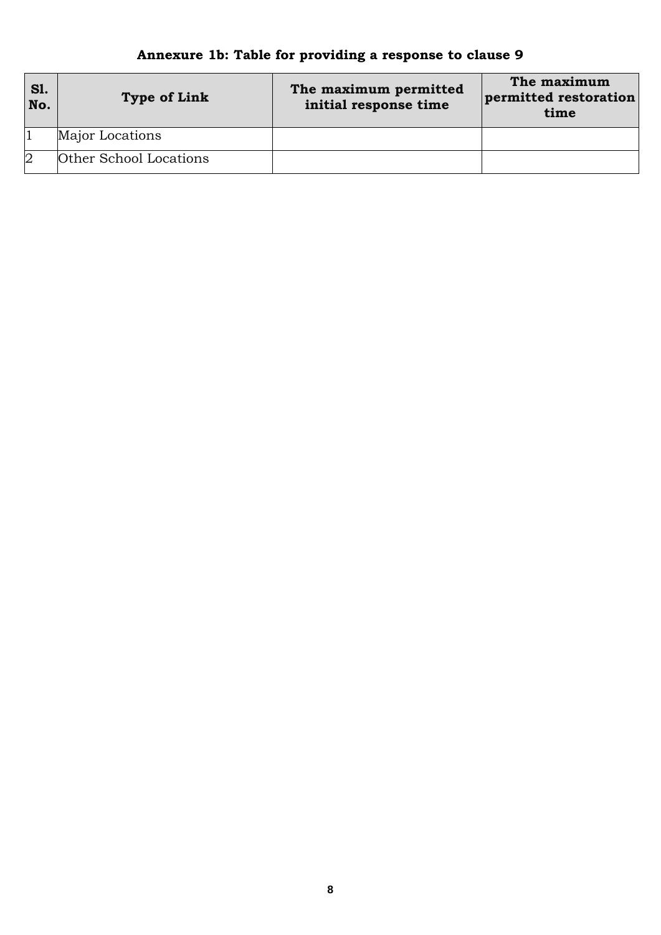#### **Sl. No. Type of Link The maximum permitted initial response time The maximum permitted restoration time** 1 Major Locations 2 Other School Locations

# **Annexure 1b: Table for providing a response to clause 9**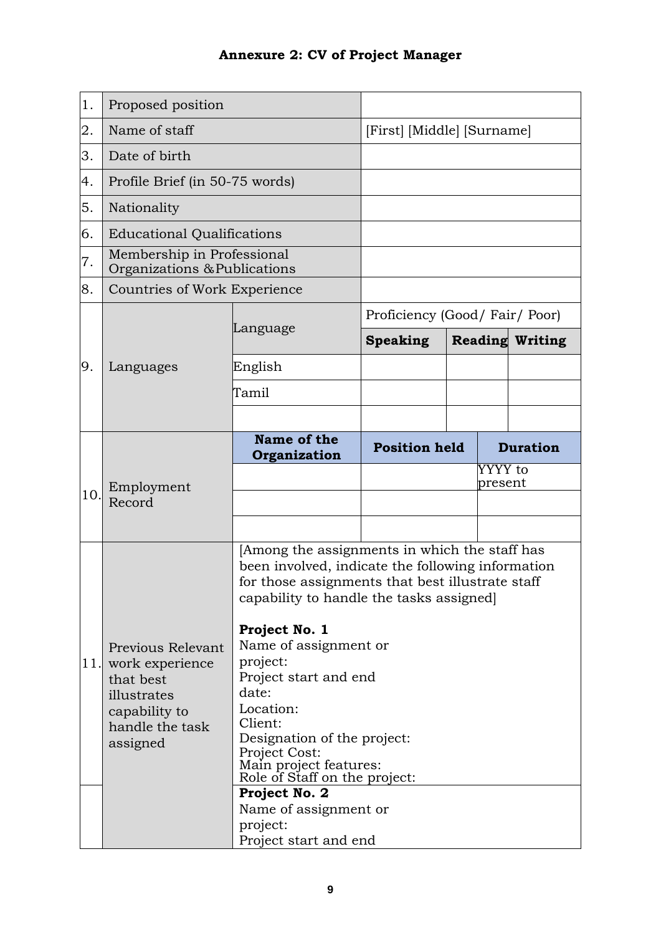| 1.   | Proposed position                                                                                                |                                                                                                                                                                                                                                                                                                                                                                                                                             |                            |  |                    |                        |
|------|------------------------------------------------------------------------------------------------------------------|-----------------------------------------------------------------------------------------------------------------------------------------------------------------------------------------------------------------------------------------------------------------------------------------------------------------------------------------------------------------------------------------------------------------------------|----------------------------|--|--------------------|------------------------|
| 2.   | Name of staff                                                                                                    |                                                                                                                                                                                                                                                                                                                                                                                                                             | [First] [Middle] [Surname] |  |                    |                        |
| 3.   | Date of birth                                                                                                    |                                                                                                                                                                                                                                                                                                                                                                                                                             |                            |  |                    |                        |
| 4.   | Profile Brief (in 50-75 words)                                                                                   |                                                                                                                                                                                                                                                                                                                                                                                                                             |                            |  |                    |                        |
| 5.   | Nationality                                                                                                      |                                                                                                                                                                                                                                                                                                                                                                                                                             |                            |  |                    |                        |
| 6.   | <b>Educational Qualifications</b>                                                                                |                                                                                                                                                                                                                                                                                                                                                                                                                             |                            |  |                    |                        |
| 7.   | Membership in Professional<br>Organizations & Publications                                                       |                                                                                                                                                                                                                                                                                                                                                                                                                             |                            |  |                    |                        |
| 8.   | Countries of Work Experience                                                                                     |                                                                                                                                                                                                                                                                                                                                                                                                                             |                            |  |                    |                        |
|      |                                                                                                                  | Proficiency (Good/Fair/Poor)                                                                                                                                                                                                                                                                                                                                                                                                |                            |  |                    |                        |
|      |                                                                                                                  | Language                                                                                                                                                                                                                                                                                                                                                                                                                    | <b>Speaking</b>            |  |                    | <b>Reading Writing</b> |
| 9.   | Languages                                                                                                        | English                                                                                                                                                                                                                                                                                                                                                                                                                     |                            |  |                    |                        |
|      |                                                                                                                  | Tamil                                                                                                                                                                                                                                                                                                                                                                                                                       |                            |  |                    |                        |
|      |                                                                                                                  |                                                                                                                                                                                                                                                                                                                                                                                                                             |                            |  |                    |                        |
|      |                                                                                                                  | Name of the<br>Organization                                                                                                                                                                                                                                                                                                                                                                                                 | <b>Position held</b>       |  |                    | <b>Duration</b>        |
|      | Employment                                                                                                       |                                                                                                                                                                                                                                                                                                                                                                                                                             |                            |  | YYYY to<br>present |                        |
| 10.  | Record                                                                                                           |                                                                                                                                                                                                                                                                                                                                                                                                                             |                            |  |                    |                        |
|      |                                                                                                                  |                                                                                                                                                                                                                                                                                                                                                                                                                             |                            |  |                    |                        |
| 11.1 | Previous Relevant<br>work experience<br>that best<br>illustrates<br>capability to<br>handle the task<br>assigned | Among the assignments in which the staff has<br>been involved, indicate the following information<br>for those assignments that best illustrate staff<br>capability to handle the tasks assigned<br>Project No. 1<br>Name of assignment or<br>project:<br>Project start and end<br>date:<br>Location:<br>Client:<br>Designation of the project:<br>Project Cost:<br>Main project features:<br>Role of Staff on the project: |                            |  |                    |                        |
|      |                                                                                                                  | Project No. 2<br>Name of assignment or<br>project:<br>Project start and end                                                                                                                                                                                                                                                                                                                                                 |                            |  |                    |                        |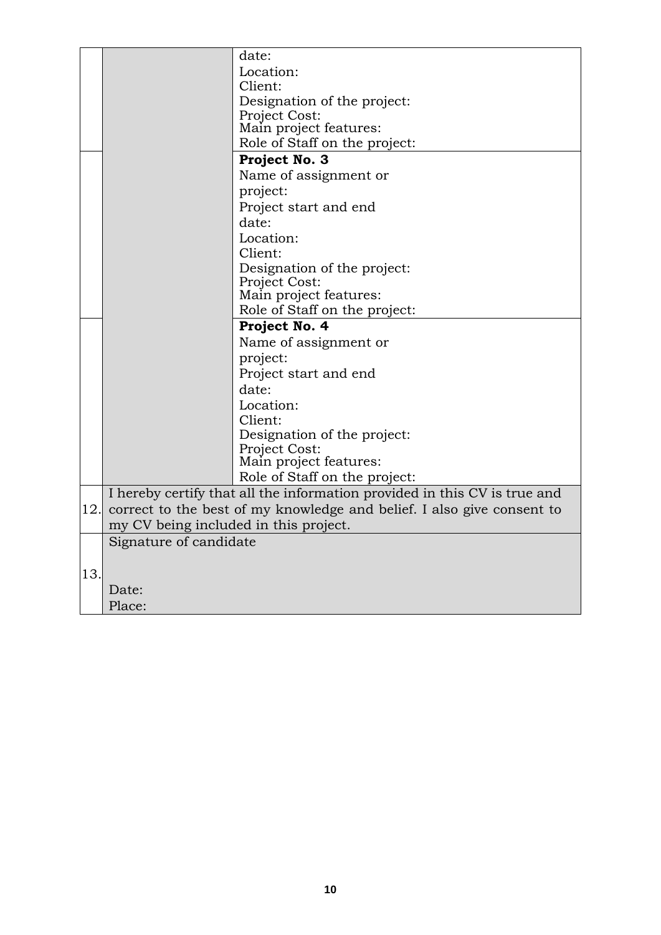|     |                                       | date:                                                                     |
|-----|---------------------------------------|---------------------------------------------------------------------------|
|     |                                       | Location:                                                                 |
|     |                                       | Client:                                                                   |
|     |                                       | Designation of the project:                                               |
|     |                                       | Project Cost:                                                             |
|     |                                       | Main project features:                                                    |
|     |                                       | Role of Staff on the project:                                             |
|     |                                       | Project No. 3                                                             |
|     |                                       | Name of assignment or                                                     |
|     |                                       | project:                                                                  |
|     |                                       | Project start and end                                                     |
|     |                                       | date:                                                                     |
|     |                                       | Location:                                                                 |
|     |                                       | Client:                                                                   |
|     |                                       | Designation of the project:                                               |
|     |                                       | Project Cost:                                                             |
|     |                                       | Main project features:                                                    |
|     |                                       | Role of Staff on the project:                                             |
|     |                                       | Project No. 4                                                             |
|     |                                       | Name of assignment or                                                     |
|     |                                       | project:                                                                  |
|     |                                       | Project start and end                                                     |
|     |                                       | date:                                                                     |
|     |                                       | Location:                                                                 |
|     |                                       | Client:                                                                   |
|     |                                       | Designation of the project:                                               |
|     |                                       | Project Cost:                                                             |
|     |                                       | Main project features:                                                    |
|     |                                       | Role of Staff on the project:                                             |
|     |                                       | I hereby certify that all the information provided in this CV is true and |
| 12. |                                       | correct to the best of my knowledge and belief. I also give consent to    |
|     | my CV being included in this project. |                                                                           |
|     | Signature of candidate                |                                                                           |
|     |                                       |                                                                           |
| 13. |                                       |                                                                           |
|     | Date:                                 |                                                                           |
|     | Place:                                |                                                                           |
|     |                                       |                                                                           |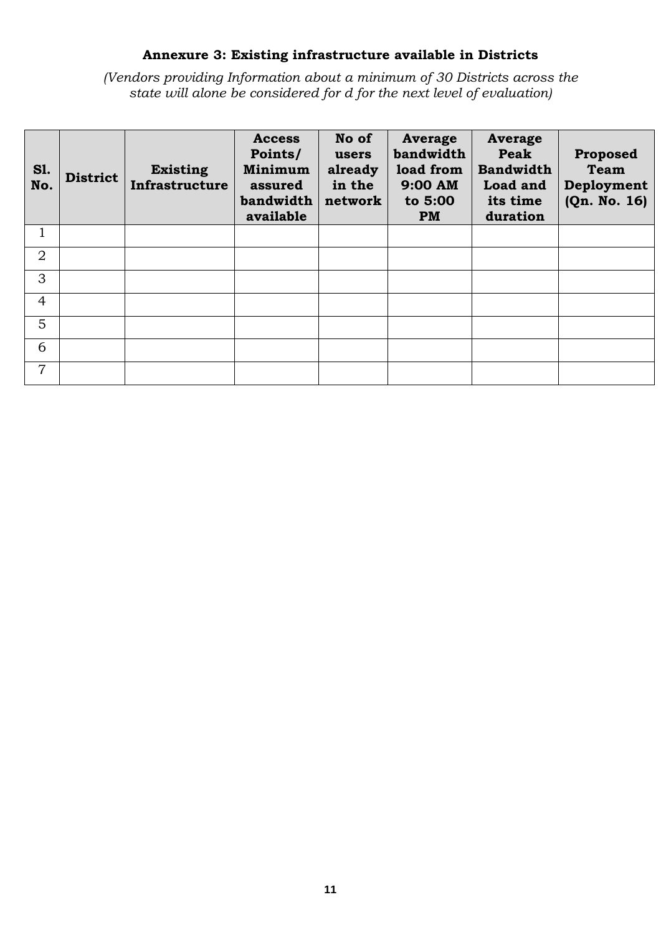# **Annexure 3: Existing infrastructure available in Districts**

*(Vendors providing Information about a minimum of 30 Districts across the state will alone be considered for d for the next level of evaluation)*

| <b>S1.</b><br>No. | <b>District</b> | <b>Existing</b><br>Infrastructure | <b>Access</b><br>Points/<br>Minimum<br>assured<br>bandwidth<br>available | No of<br>users<br>already<br>in the<br>network | <b>Average</b><br>bandwidth<br>load from<br>9:00 AM<br>to 5:00<br><b>PM</b> | <b>Average</b><br>Peak<br><b>Bandwidth</b><br>Load and<br>its time<br>duration | Proposed<br><b>Team</b><br>Deployment<br>(Qn. No. 16) |
|-------------------|-----------------|-----------------------------------|--------------------------------------------------------------------------|------------------------------------------------|-----------------------------------------------------------------------------|--------------------------------------------------------------------------------|-------------------------------------------------------|
| 1                 |                 |                                   |                                                                          |                                                |                                                                             |                                                                                |                                                       |
| $\overline{2}$    |                 |                                   |                                                                          |                                                |                                                                             |                                                                                |                                                       |
| 3                 |                 |                                   |                                                                          |                                                |                                                                             |                                                                                |                                                       |
| $\overline{4}$    |                 |                                   |                                                                          |                                                |                                                                             |                                                                                |                                                       |
| 5                 |                 |                                   |                                                                          |                                                |                                                                             |                                                                                |                                                       |
| 6                 |                 |                                   |                                                                          |                                                |                                                                             |                                                                                |                                                       |
| 7                 |                 |                                   |                                                                          |                                                |                                                                             |                                                                                |                                                       |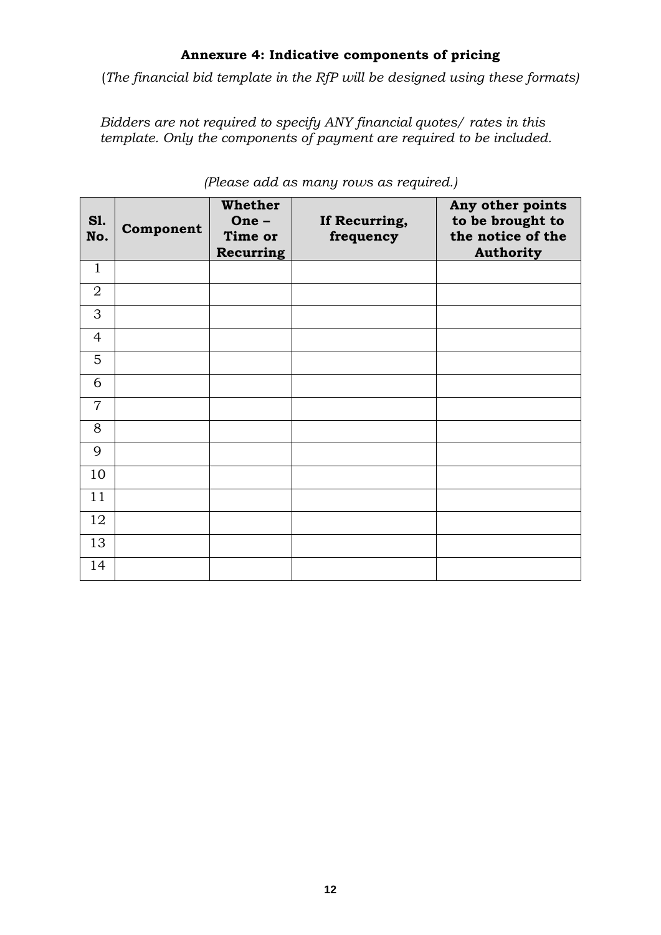# **Annexure 4: Indicative components of pricing**

(*The financial bid template in the RfP will be designed using these formats)*

*Bidders are not required to specify ANY financial quotes/ rates in this template. Only the components of payment are required to be included.*

| <b>S1.</b><br>No. | Component | <b>Whether</b><br>One-<br>Time or<br>Recurring | If Recurring,<br>frequency | Any other points<br>to be brought to<br>the notice of the<br><b>Authority</b> |
|-------------------|-----------|------------------------------------------------|----------------------------|-------------------------------------------------------------------------------|
| $\mathbf{1}$      |           |                                                |                            |                                                                               |
| $\overline{2}$    |           |                                                |                            |                                                                               |
| 3                 |           |                                                |                            |                                                                               |
| $\overline{4}$    |           |                                                |                            |                                                                               |
| 5                 |           |                                                |                            |                                                                               |
| 6                 |           |                                                |                            |                                                                               |
| $\overline{7}$    |           |                                                |                            |                                                                               |
| 8                 |           |                                                |                            |                                                                               |
| 9                 |           |                                                |                            |                                                                               |
| 10                |           |                                                |                            |                                                                               |
| 11                |           |                                                |                            |                                                                               |
| 12                |           |                                                |                            |                                                                               |
| 13                |           |                                                |                            |                                                                               |
| 14                |           |                                                |                            |                                                                               |

*(Please add as many rows as required.)*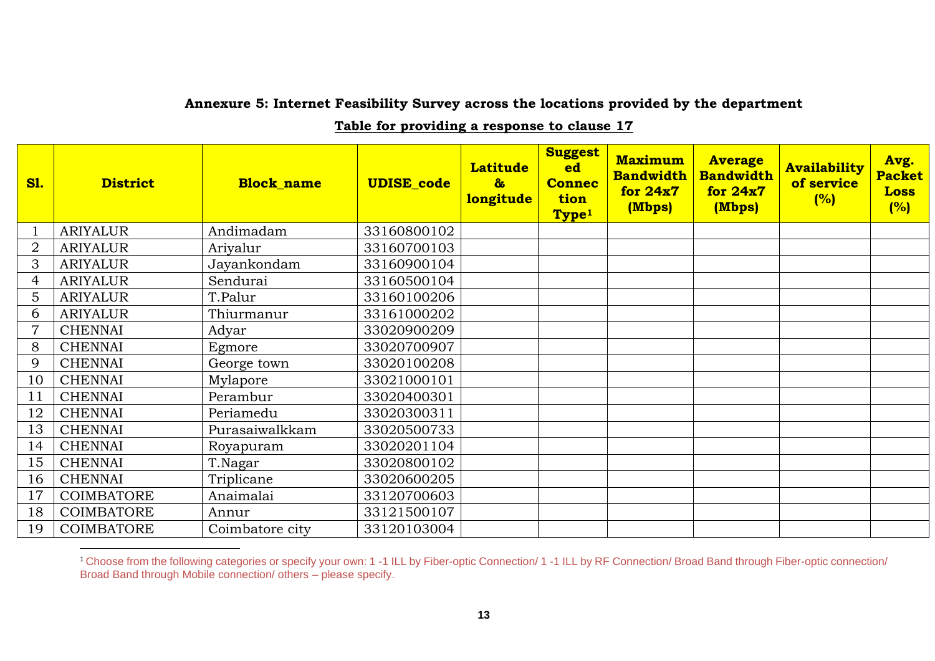#### **Annexure 5: Internet Feasibility Survey across the locations provided by the department**

**Table for providing a response to clause 17**

| <b>S1.</b>     | <b>District</b>   | <b>Block name</b> | <b>UDISE_code</b> | <b>Latitude</b><br>$\mathbf{a}$<br><b>longitude</b> | <b>Suggest</b><br>ed<br><b>Connec</b><br>tion<br>Type <sup>1</sup> | <b>Maximum</b><br><b>Bandwidth</b><br>for $24x7$<br>(Mbps) | <b>Average</b><br><b>Bandwidth</b><br>for $24x7$<br>(Mbps) | <b>Availability</b><br>of service<br>(%) | Avg.<br><b>Packet</b><br><b>Loss</b><br>(%) |
|----------------|-------------------|-------------------|-------------------|-----------------------------------------------------|--------------------------------------------------------------------|------------------------------------------------------------|------------------------------------------------------------|------------------------------------------|---------------------------------------------|
|                | <b>ARIYALUR</b>   | Andimadam         | 33160800102       |                                                     |                                                                    |                                                            |                                                            |                                          |                                             |
| $\overline{2}$ | <b>ARIYALUR</b>   | Ariyalur          | 33160700103       |                                                     |                                                                    |                                                            |                                                            |                                          |                                             |
| 3              | <b>ARIYALUR</b>   | Jayankondam       | 33160900104       |                                                     |                                                                    |                                                            |                                                            |                                          |                                             |
| 4              | <b>ARIYALUR</b>   | Sendurai          | 33160500104       |                                                     |                                                                    |                                                            |                                                            |                                          |                                             |
| 5              | <b>ARIYALUR</b>   | T.Palur           | 33160100206       |                                                     |                                                                    |                                                            |                                                            |                                          |                                             |
| 6              | <b>ARIYALUR</b>   | Thiurmanur        | 33161000202       |                                                     |                                                                    |                                                            |                                                            |                                          |                                             |
| $\overline{7}$ | <b>CHENNAI</b>    | Adyar             | 33020900209       |                                                     |                                                                    |                                                            |                                                            |                                          |                                             |
| 8              | <b>CHENNAI</b>    | Egmore            | 33020700907       |                                                     |                                                                    |                                                            |                                                            |                                          |                                             |
| 9              | <b>CHENNAI</b>    | George town       | 33020100208       |                                                     |                                                                    |                                                            |                                                            |                                          |                                             |
| 10             | <b>CHENNAI</b>    | Mylapore          | 33021000101       |                                                     |                                                                    |                                                            |                                                            |                                          |                                             |
| 11             | <b>CHENNAI</b>    | Perambur          | 33020400301       |                                                     |                                                                    |                                                            |                                                            |                                          |                                             |
| 12             | <b>CHENNAI</b>    | Periamedu         | 33020300311       |                                                     |                                                                    |                                                            |                                                            |                                          |                                             |
| 13             | <b>CHENNAI</b>    | Purasaiwalkkam    | 33020500733       |                                                     |                                                                    |                                                            |                                                            |                                          |                                             |
| 14             | <b>CHENNAI</b>    | Royapuram         | 33020201104       |                                                     |                                                                    |                                                            |                                                            |                                          |                                             |
| 15             | <b>CHENNAI</b>    | T.Nagar           | 33020800102       |                                                     |                                                                    |                                                            |                                                            |                                          |                                             |
| 16             | <b>CHENNAI</b>    | Triplicane        | 33020600205       |                                                     |                                                                    |                                                            |                                                            |                                          |                                             |
| 17             | COIMBATORE        | Anaimalai         | 33120700603       |                                                     |                                                                    |                                                            |                                                            |                                          |                                             |
| 18             | COIMBATORE        | Annur             | 33121500107       |                                                     |                                                                    |                                                            |                                                            |                                          |                                             |
| 19             | <b>COIMBATORE</b> | Coimbatore city   | 33120103004       |                                                     |                                                                    |                                                            |                                                            |                                          |                                             |

<sup>&</sup>lt;sup>1</sup> Choose from the following categories or specify your own: 1 -1 ILL by Fiber-optic Connection/ 1 -1 ILL by RF Connection/ Broad Band through Fiber-optic connection/ Broad Band through Mobile connection/ others – please specify.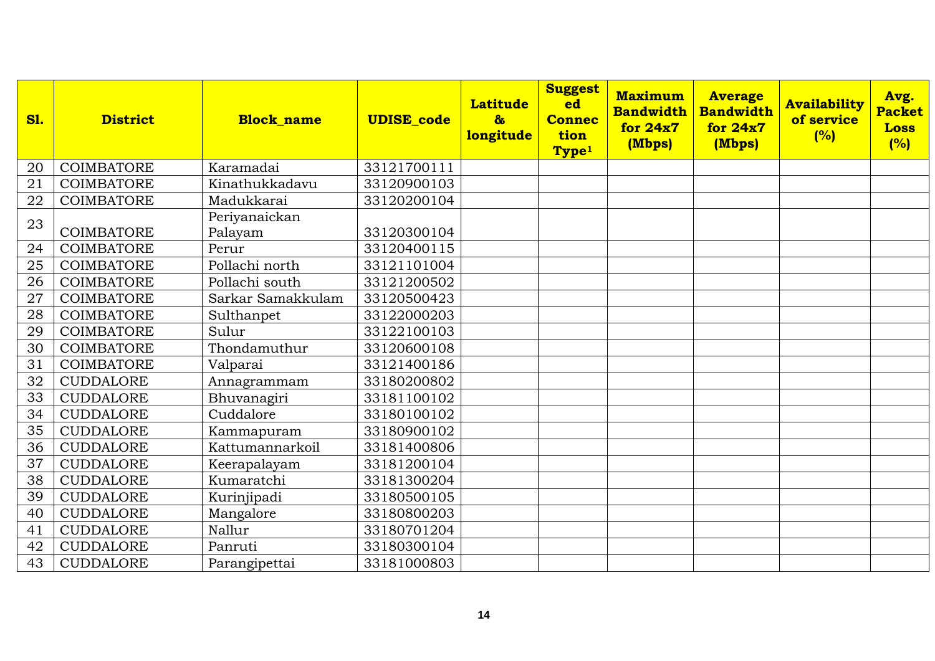| <b>S1.</b> | <b>District</b>   | <b>Block name</b>        | <b>UDISE</b> code | <b>Latitude</b><br>$\mathbf{a}$<br>longitude | <b>Suggest</b><br>ed<br><b>Connec</b><br>tion<br>Type <sup>1</sup> | <b>Maximum</b><br><b>Bandwidth</b><br>for 24x7<br>(Mbps) | <b>Average</b><br><b>Bandwidth</b><br>for 24x7<br>(Mbps) | <b>Availability</b><br>of service<br>(%) | Avg.<br><b>Packet</b><br><b>Loss</b><br>(%) |
|------------|-------------------|--------------------------|-------------------|----------------------------------------------|--------------------------------------------------------------------|----------------------------------------------------------|----------------------------------------------------------|------------------------------------------|---------------------------------------------|
| 20         | <b>COIMBATORE</b> | Karamadai                | 33121700111       |                                              |                                                                    |                                                          |                                                          |                                          |                                             |
| 21         | <b>COIMBATORE</b> | Kinathukkadavu           | 33120900103       |                                              |                                                                    |                                                          |                                                          |                                          |                                             |
| 22         | <b>COIMBATORE</b> | Madukkarai               | 33120200104       |                                              |                                                                    |                                                          |                                                          |                                          |                                             |
| 23         | <b>COIMBATORE</b> | Periyanaickan<br>Palayam | 33120300104       |                                              |                                                                    |                                                          |                                                          |                                          |                                             |
| 24         | <b>COIMBATORE</b> | Perur                    | 33120400115       |                                              |                                                                    |                                                          |                                                          |                                          |                                             |
| 25         | <b>COIMBATORE</b> | Pollachi north           | 33121101004       |                                              |                                                                    |                                                          |                                                          |                                          |                                             |
| 26         | <b>COIMBATORE</b> | Pollachi south           | 33121200502       |                                              |                                                                    |                                                          |                                                          |                                          |                                             |
| 27         | <b>COIMBATORE</b> | Sarkar Samakkulam        | 33120500423       |                                              |                                                                    |                                                          |                                                          |                                          |                                             |
| 28         | <b>COIMBATORE</b> | Sulthanpet               | 33122000203       |                                              |                                                                    |                                                          |                                                          |                                          |                                             |
| 29         | <b>COIMBATORE</b> | Sulur                    | 33122100103       |                                              |                                                                    |                                                          |                                                          |                                          |                                             |
| 30         | <b>COIMBATORE</b> | Thondamuthur             | 33120600108       |                                              |                                                                    |                                                          |                                                          |                                          |                                             |
| 31         | <b>COIMBATORE</b> | Valparai                 | 33121400186       |                                              |                                                                    |                                                          |                                                          |                                          |                                             |
| 32         | <b>CUDDALORE</b>  | Annagrammam              | 33180200802       |                                              |                                                                    |                                                          |                                                          |                                          |                                             |
| 33         | <b>CUDDALORE</b>  | Bhuvanagiri              | 33181100102       |                                              |                                                                    |                                                          |                                                          |                                          |                                             |
| 34         | <b>CUDDALORE</b>  | Cuddalore                | 33180100102       |                                              |                                                                    |                                                          |                                                          |                                          |                                             |
| 35         | <b>CUDDALORE</b>  | Kammapuram               | 33180900102       |                                              |                                                                    |                                                          |                                                          |                                          |                                             |
| 36         | <b>CUDDALORE</b>  | Kattumannarkoil          | 33181400806       |                                              |                                                                    |                                                          |                                                          |                                          |                                             |
| 37         | <b>CUDDALORE</b>  | Keerapalayam             | 33181200104       |                                              |                                                                    |                                                          |                                                          |                                          |                                             |
| 38         | <b>CUDDALORE</b>  | Kumaratchi               | 33181300204       |                                              |                                                                    |                                                          |                                                          |                                          |                                             |
| 39         | <b>CUDDALORE</b>  | Kurinjipadi              | 33180500105       |                                              |                                                                    |                                                          |                                                          |                                          |                                             |
| 40         | <b>CUDDALORE</b>  | Mangalore                | 33180800203       |                                              |                                                                    |                                                          |                                                          |                                          |                                             |
| 41         | <b>CUDDALORE</b>  | Nallur                   | 33180701204       |                                              |                                                                    |                                                          |                                                          |                                          |                                             |
| 42         | <b>CUDDALORE</b>  | Panruti                  | 33180300104       |                                              |                                                                    |                                                          |                                                          |                                          |                                             |
| 43         | <b>CUDDALORE</b>  | Parangipettai            | 33181000803       |                                              |                                                                    |                                                          |                                                          |                                          |                                             |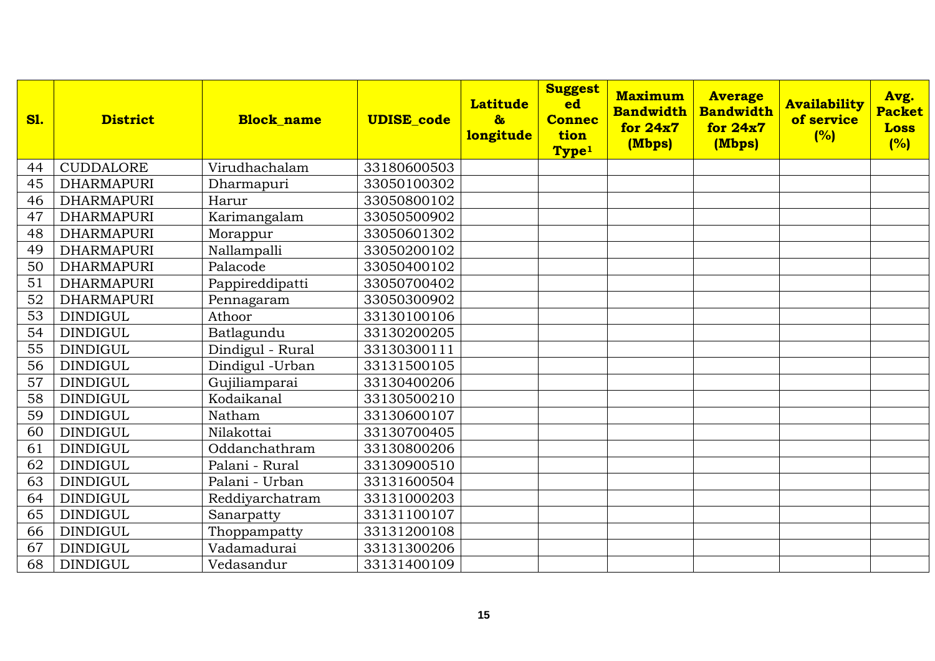| <b>S1.</b> | <b>District</b>   | <b>Block name</b> | <b>UDISE_code</b> | <b>Latitude</b><br>$\boldsymbol{\delta}$<br>longitude | <b>Suggest</b><br>ed<br><b>Connec</b><br>tion<br>Type <sup>1</sup> | <b>Maximum</b><br><b>Bandwidth</b><br>for 24x7<br>(Mbps) | <b>Average</b><br><b>Bandwidth</b><br>for $24x7$<br>(Mbps) | <b>Availability</b><br>of service<br>(%) | Avg.<br><b>Packet</b><br><b>Loss</b><br>(%) |
|------------|-------------------|-------------------|-------------------|-------------------------------------------------------|--------------------------------------------------------------------|----------------------------------------------------------|------------------------------------------------------------|------------------------------------------|---------------------------------------------|
| 44         | <b>CUDDALORE</b>  | Virudhachalam     | 33180600503       |                                                       |                                                                    |                                                          |                                                            |                                          |                                             |
| 45         | <b>DHARMAPURI</b> | Dharmapuri        | 33050100302       |                                                       |                                                                    |                                                          |                                                            |                                          |                                             |
| 46         | <b>DHARMAPURI</b> | Harur             | 33050800102       |                                                       |                                                                    |                                                          |                                                            |                                          |                                             |
| 47         | <b>DHARMAPURI</b> | Karimangalam      | 33050500902       |                                                       |                                                                    |                                                          |                                                            |                                          |                                             |
| 48         | <b>DHARMAPURI</b> | Morappur          | 33050601302       |                                                       |                                                                    |                                                          |                                                            |                                          |                                             |
| 49         | <b>DHARMAPURI</b> | Nallampalli       | 33050200102       |                                                       |                                                                    |                                                          |                                                            |                                          |                                             |
| 50         | <b>DHARMAPURI</b> | Palacode          | 33050400102       |                                                       |                                                                    |                                                          |                                                            |                                          |                                             |
| 51         | <b>DHARMAPURI</b> | Pappireddipatti   | 33050700402       |                                                       |                                                                    |                                                          |                                                            |                                          |                                             |
| 52         | <b>DHARMAPURI</b> | Pennagaram        | 33050300902       |                                                       |                                                                    |                                                          |                                                            |                                          |                                             |
| 53         | <b>DINDIGUL</b>   | Athoor            | 33130100106       |                                                       |                                                                    |                                                          |                                                            |                                          |                                             |
| 54         | <b>DINDIGUL</b>   | Batlagundu        | 33130200205       |                                                       |                                                                    |                                                          |                                                            |                                          |                                             |
| 55         | <b>DINDIGUL</b>   | Dindigul - Rural  | 33130300111       |                                                       |                                                                    |                                                          |                                                            |                                          |                                             |
| 56         | <b>DINDIGUL</b>   | Dindigul - Urban  | 33131500105       |                                                       |                                                                    |                                                          |                                                            |                                          |                                             |
| 57         | <b>DINDIGUL</b>   | Gujiliamparai     | 33130400206       |                                                       |                                                                    |                                                          |                                                            |                                          |                                             |
| 58         | <b>DINDIGUL</b>   | Kodaikanal        | 33130500210       |                                                       |                                                                    |                                                          |                                                            |                                          |                                             |
| 59         | <b>DINDIGUL</b>   | Natham            | 33130600107       |                                                       |                                                                    |                                                          |                                                            |                                          |                                             |
| 60         | <b>DINDIGUL</b>   | Nilakottai        | 33130700405       |                                                       |                                                                    |                                                          |                                                            |                                          |                                             |
| 61         | <b>DINDIGUL</b>   | Oddanchathram     | 33130800206       |                                                       |                                                                    |                                                          |                                                            |                                          |                                             |
| 62         | <b>DINDIGUL</b>   | Palani - Rural    | 33130900510       |                                                       |                                                                    |                                                          |                                                            |                                          |                                             |
| 63         | <b>DINDIGUL</b>   | Palani - Urban    | 33131600504       |                                                       |                                                                    |                                                          |                                                            |                                          |                                             |
| 64         | <b>DINDIGUL</b>   | Reddiyarchatram   | 33131000203       |                                                       |                                                                    |                                                          |                                                            |                                          |                                             |
| 65         | <b>DINDIGUL</b>   | Sanarpatty        | 33131100107       |                                                       |                                                                    |                                                          |                                                            |                                          |                                             |
| 66         | <b>DINDIGUL</b>   | Thoppampatty      | 33131200108       |                                                       |                                                                    |                                                          |                                                            |                                          |                                             |
| 67         | <b>DINDIGUL</b>   | Vadamadurai       | 33131300206       |                                                       |                                                                    |                                                          |                                                            |                                          |                                             |
| 68         | <b>DINDIGUL</b>   | Vedasandur        | 33131400109       |                                                       |                                                                    |                                                          |                                                            |                                          |                                             |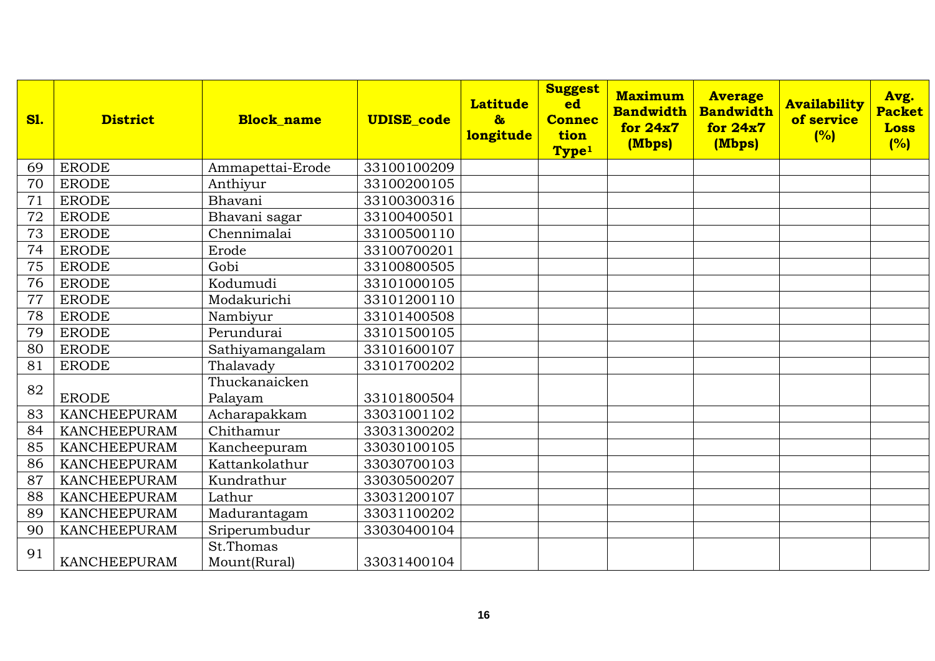| <b>S1.</b> | <b>District</b>     | <b>Block name</b>         | <b>UDISE</b> code | <b>Latitude</b><br>$\mathbf{a}$<br>longitude | <b>Suggest</b><br>ed<br><b>Connec</b><br>tion<br>Type <sup>1</sup> | <b>Maximum</b><br><b>Bandwidth</b><br>for 24x7<br>(Mbps) | <b>Average</b><br><b>Bandwidth</b><br>for 24x7<br>(Mbps) | <b>Availability</b><br>of service<br>(%) | Avg.<br><b>Packet</b><br><b>Loss</b><br>(%) |
|------------|---------------------|---------------------------|-------------------|----------------------------------------------|--------------------------------------------------------------------|----------------------------------------------------------|----------------------------------------------------------|------------------------------------------|---------------------------------------------|
| 69         | <b>ERODE</b>        | Ammapettai-Erode          | 33100100209       |                                              |                                                                    |                                                          |                                                          |                                          |                                             |
| 70         | <b>ERODE</b>        | Anthiyur                  | 33100200105       |                                              |                                                                    |                                                          |                                                          |                                          |                                             |
| 71         | <b>ERODE</b>        | Bhavani                   | 33100300316       |                                              |                                                                    |                                                          |                                                          |                                          |                                             |
| 72         | <b>ERODE</b>        | Bhavani sagar             | 33100400501       |                                              |                                                                    |                                                          |                                                          |                                          |                                             |
| 73         | <b>ERODE</b>        | Chennimalai               | 33100500110       |                                              |                                                                    |                                                          |                                                          |                                          |                                             |
| 74         | <b>ERODE</b>        | Erode                     | 33100700201       |                                              |                                                                    |                                                          |                                                          |                                          |                                             |
| 75         | <b>ERODE</b>        | Gobi                      | 33100800505       |                                              |                                                                    |                                                          |                                                          |                                          |                                             |
| 76         | <b>ERODE</b>        | Kodumudi                  | 33101000105       |                                              |                                                                    |                                                          |                                                          |                                          |                                             |
| 77         | <b>ERODE</b>        | Modakurichi               | 33101200110       |                                              |                                                                    |                                                          |                                                          |                                          |                                             |
| 78         | <b>ERODE</b>        | Nambiyur                  | 33101400508       |                                              |                                                                    |                                                          |                                                          |                                          |                                             |
| 79         | <b>ERODE</b>        | Perundurai                | 33101500105       |                                              |                                                                    |                                                          |                                                          |                                          |                                             |
| 80         | <b>ERODE</b>        | Sathiyamangalam           | 33101600107       |                                              |                                                                    |                                                          |                                                          |                                          |                                             |
| 81         | <b>ERODE</b>        | Thalavady                 | 33101700202       |                                              |                                                                    |                                                          |                                                          |                                          |                                             |
| 82         | <b>ERODE</b>        | Thuckanaicken<br>Palayam  | 33101800504       |                                              |                                                                    |                                                          |                                                          |                                          |                                             |
| 83         | <b>KANCHEEPURAM</b> | Acharapakkam              | 33031001102       |                                              |                                                                    |                                                          |                                                          |                                          |                                             |
| 84         | <b>KANCHEEPURAM</b> | Chithamur                 | 33031300202       |                                              |                                                                    |                                                          |                                                          |                                          |                                             |
| 85         | <b>KANCHEEPURAM</b> | Kancheepuram              | 33030100105       |                                              |                                                                    |                                                          |                                                          |                                          |                                             |
| 86         | <b>KANCHEEPURAM</b> | Kattankolathur            | 33030700103       |                                              |                                                                    |                                                          |                                                          |                                          |                                             |
| 87         | <b>KANCHEEPURAM</b> | Kundrathur                | 33030500207       |                                              |                                                                    |                                                          |                                                          |                                          |                                             |
| 88         | <b>KANCHEEPURAM</b> | Lathur                    | 33031200107       |                                              |                                                                    |                                                          |                                                          |                                          |                                             |
| 89         | <b>KANCHEEPURAM</b> | Madurantagam              | 33031100202       |                                              |                                                                    |                                                          |                                                          |                                          |                                             |
| 90         | <b>KANCHEEPURAM</b> | Sriperumbudur             | 33030400104       |                                              |                                                                    |                                                          |                                                          |                                          |                                             |
| 91         | <b>KANCHEEPURAM</b> | St.Thomas<br>Mount(Rural) | 33031400104       |                                              |                                                                    |                                                          |                                                          |                                          |                                             |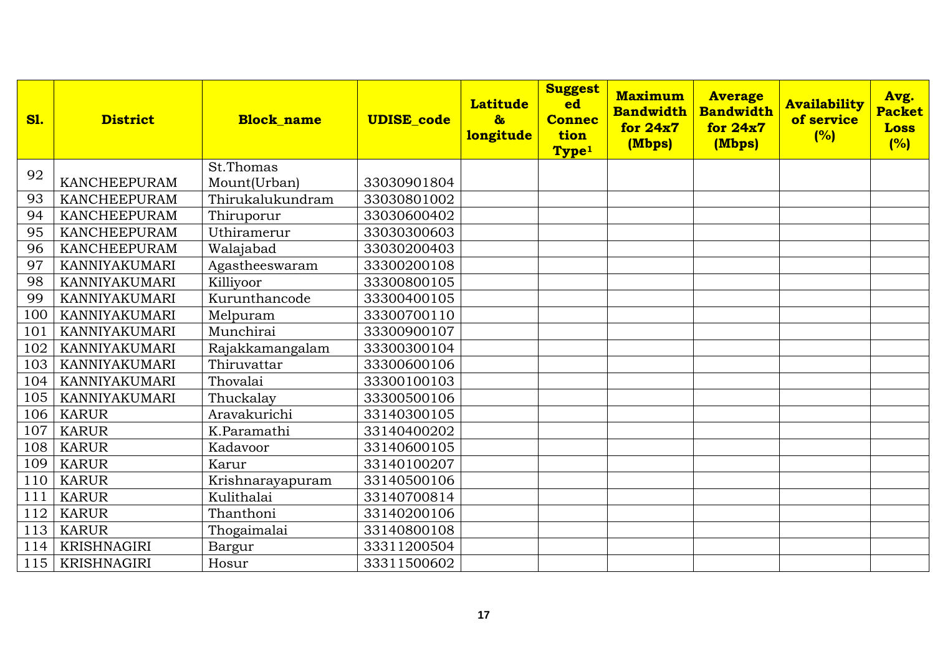| <b>S1.</b> | <b>District</b>      | <b>Block name</b> | <b>UDISE</b> code | <b>Latitude</b><br>$\mathbf{a}$<br>longitude | <b>Suggest</b><br>ed<br><b>Connec</b><br>tion<br>Type <sup>1</sup> | <b>Maximum</b><br><b>Bandwidth</b><br>for 24x7<br>(Mbps) | <b>Average</b><br><b>Bandwidth</b><br>for 24x7<br>(Mbps) | <b>Availability</b><br>of service<br>(%) | Avg.<br><b>Packet</b><br><b>Loss</b><br>(%) |
|------------|----------------------|-------------------|-------------------|----------------------------------------------|--------------------------------------------------------------------|----------------------------------------------------------|----------------------------------------------------------|------------------------------------------|---------------------------------------------|
| 92         |                      | St.Thomas         |                   |                                              |                                                                    |                                                          |                                                          |                                          |                                             |
|            | <b>KANCHEEPURAM</b>  | Mount(Urban)      | 33030901804       |                                              |                                                                    |                                                          |                                                          |                                          |                                             |
| 93         | <b>KANCHEEPURAM</b>  | Thirukalukundram  | 33030801002       |                                              |                                                                    |                                                          |                                                          |                                          |                                             |
| 94         | <b>KANCHEEPURAM</b>  | Thiruporur        | 33030600402       |                                              |                                                                    |                                                          |                                                          |                                          |                                             |
| 95         | <b>KANCHEEPURAM</b>  | Uthiramerur       | 33030300603       |                                              |                                                                    |                                                          |                                                          |                                          |                                             |
| 96         | <b>KANCHEEPURAM</b>  | Walajabad         | 33030200403       |                                              |                                                                    |                                                          |                                                          |                                          |                                             |
| 97         | KANNIYAKUMARI        | Agastheeswaram    | 33300200108       |                                              |                                                                    |                                                          |                                                          |                                          |                                             |
| 98         | <b>KANNIYAKUMARI</b> | Killiyoor         | 33300800105       |                                              |                                                                    |                                                          |                                                          |                                          |                                             |
| 99         | KANNIYAKUMARI        | Kurunthancode     | 33300400105       |                                              |                                                                    |                                                          |                                                          |                                          |                                             |
| 100        | KANNIYAKUMARI        | Melpuram          | 33300700110       |                                              |                                                                    |                                                          |                                                          |                                          |                                             |
| 101        | <b>KANNIYAKUMARI</b> | Munchirai         | 33300900107       |                                              |                                                                    |                                                          |                                                          |                                          |                                             |
| 102        | KANNIYAKUMARI        | Rajakkamangalam   | 33300300104       |                                              |                                                                    |                                                          |                                                          |                                          |                                             |
| 103        | <b>KANNIYAKUMARI</b> | Thiruvattar       | 33300600106       |                                              |                                                                    |                                                          |                                                          |                                          |                                             |
| 104        | KANNIYAKUMARI        | Thovalai          | 33300100103       |                                              |                                                                    |                                                          |                                                          |                                          |                                             |
| 105        | KANNIYAKUMARI        | Thuckalay         | 33300500106       |                                              |                                                                    |                                                          |                                                          |                                          |                                             |
| 106        | <b>KARUR</b>         | Aravakurichi      | 33140300105       |                                              |                                                                    |                                                          |                                                          |                                          |                                             |
| 107        | <b>KARUR</b>         | K.Paramathi       | 33140400202       |                                              |                                                                    |                                                          |                                                          |                                          |                                             |
| 108        | <b>KARUR</b>         | Kadavoor          | 33140600105       |                                              |                                                                    |                                                          |                                                          |                                          |                                             |
| 109        | <b>KARUR</b>         | Karur             | 33140100207       |                                              |                                                                    |                                                          |                                                          |                                          |                                             |
| 110        | <b>KARUR</b>         | Krishnarayapuram  | 33140500106       |                                              |                                                                    |                                                          |                                                          |                                          |                                             |
| 111        | <b>KARUR</b>         | Kulithalai        | 33140700814       |                                              |                                                                    |                                                          |                                                          |                                          |                                             |
| 112        | <b>KARUR</b>         | Thanthoni         | 33140200106       |                                              |                                                                    |                                                          |                                                          |                                          |                                             |
| 113        | <b>KARUR</b>         | Thogaimalai       | 33140800108       |                                              |                                                                    |                                                          |                                                          |                                          |                                             |
| 114        | <b>KRISHNAGIRI</b>   | Bargur            | 33311200504       |                                              |                                                                    |                                                          |                                                          |                                          |                                             |
| 115        | <b>KRISHNAGIRI</b>   | Hosur             | 33311500602       |                                              |                                                                    |                                                          |                                                          |                                          |                                             |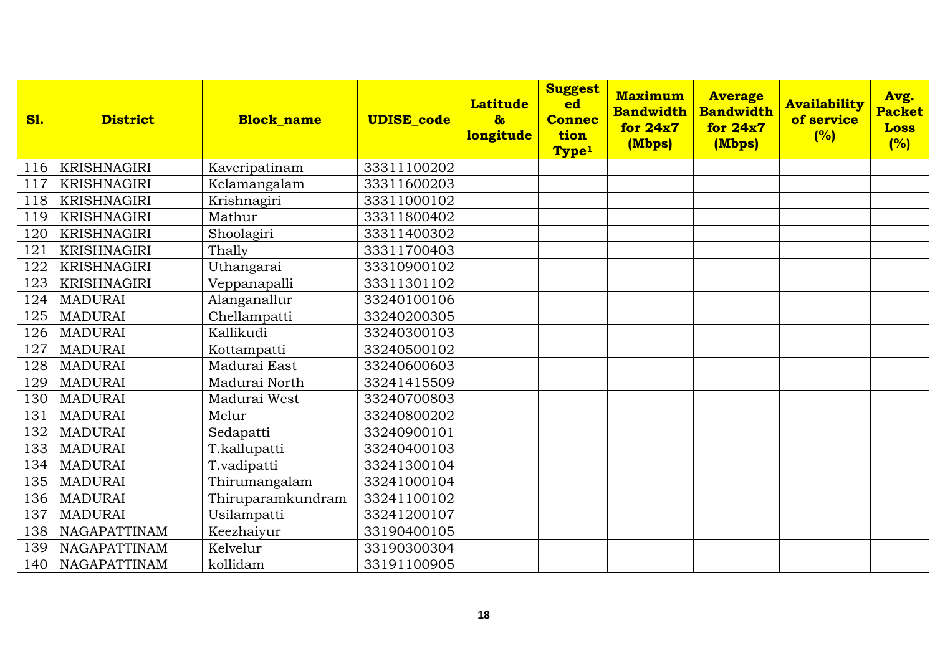| <b>S1.</b> | <b>District</b>    | <b>Block name</b> | <b>UDISE_code</b> | <b>Latitude</b><br>$\boldsymbol{\delta}$<br><b>longitude</b> | <b>Suggest</b><br>ed<br><b>Connec</b><br>tion<br>Type <sup>1</sup> | <b>Maximum</b><br><b>Bandwidth</b><br>for 24x7<br>(Mbps) | <b>Average</b><br><b>Bandwidth</b><br>for 24x7<br>(Mbps) | <b>Availability</b><br>of service<br>(%) | Avg.<br><b>Packet</b><br><b>Loss</b><br>(%) |
|------------|--------------------|-------------------|-------------------|--------------------------------------------------------------|--------------------------------------------------------------------|----------------------------------------------------------|----------------------------------------------------------|------------------------------------------|---------------------------------------------|
| 116        | KRISHNAGIRI        | Kaveripatinam     | 33311100202       |                                                              |                                                                    |                                                          |                                                          |                                          |                                             |
| 117        | <b>KRISHNAGIRI</b> | Kelamangalam      | 33311600203       |                                                              |                                                                    |                                                          |                                                          |                                          |                                             |
| 118        | <b>KRISHNAGIRI</b> | Krishnagiri       | 33311000102       |                                                              |                                                                    |                                                          |                                                          |                                          |                                             |
| 119        | <b>KRISHNAGIRI</b> | Mathur            | 33311800402       |                                                              |                                                                    |                                                          |                                                          |                                          |                                             |
| 120        | <b>KRISHNAGIRI</b> | Shoolagiri        | 33311400302       |                                                              |                                                                    |                                                          |                                                          |                                          |                                             |
| 121        | <b>KRISHNAGIRI</b> | Thally            | 33311700403       |                                                              |                                                                    |                                                          |                                                          |                                          |                                             |
| 122        | <b>KRISHNAGIRI</b> | Uthangarai        | 33310900102       |                                                              |                                                                    |                                                          |                                                          |                                          |                                             |
| 123        | <b>KRISHNAGIRI</b> | Veppanapalli      | 33311301102       |                                                              |                                                                    |                                                          |                                                          |                                          |                                             |
| 124        | <b>MADURAI</b>     | Alanganallur      | 33240100106       |                                                              |                                                                    |                                                          |                                                          |                                          |                                             |
| 125        | <b>MADURAI</b>     | Chellampatti      | 33240200305       |                                                              |                                                                    |                                                          |                                                          |                                          |                                             |
| 126        | <b>MADURAI</b>     | Kallikudi         | 33240300103       |                                                              |                                                                    |                                                          |                                                          |                                          |                                             |
| 127        | <b>MADURAI</b>     | Kottampatti       | 33240500102       |                                                              |                                                                    |                                                          |                                                          |                                          |                                             |
| 128        | <b>MADURAI</b>     | Madurai East      | 33240600603       |                                                              |                                                                    |                                                          |                                                          |                                          |                                             |
| 129        | <b>MADURAI</b>     | Madurai North     | 33241415509       |                                                              |                                                                    |                                                          |                                                          |                                          |                                             |
| 130        | <b>MADURAI</b>     | Madurai West      | 33240700803       |                                                              |                                                                    |                                                          |                                                          |                                          |                                             |
| 131        | <b>MADURAI</b>     | Melur             | 33240800202       |                                                              |                                                                    |                                                          |                                                          |                                          |                                             |
| 132        | <b>MADURAI</b>     | Sedapatti         | 33240900101       |                                                              |                                                                    |                                                          |                                                          |                                          |                                             |
| 133        | <b>MADURAI</b>     | T.kallupatti      | 33240400103       |                                                              |                                                                    |                                                          |                                                          |                                          |                                             |
| 134        | <b>MADURAI</b>     | T.vadipatti       | 33241300104       |                                                              |                                                                    |                                                          |                                                          |                                          |                                             |
| 135        | <b>MADURAI</b>     | Thirumangalam     | 33241000104       |                                                              |                                                                    |                                                          |                                                          |                                          |                                             |
| 136        | <b>MADURAI</b>     | Thiruparamkundram | 33241100102       |                                                              |                                                                    |                                                          |                                                          |                                          |                                             |
| 137        | <b>MADURAI</b>     | Usilampatti       | 33241200107       |                                                              |                                                                    |                                                          |                                                          |                                          |                                             |
| 138        | NAGAPATTINAM       | Keezhaiyur        | 33190400105       |                                                              |                                                                    |                                                          |                                                          |                                          |                                             |
| 139        | NAGAPATTINAM       | Kelvelur          | 33190300304       |                                                              |                                                                    |                                                          |                                                          |                                          |                                             |
| 140        | NAGAPATTINAM       | kollidam          | 33191100905       |                                                              |                                                                    |                                                          |                                                          |                                          |                                             |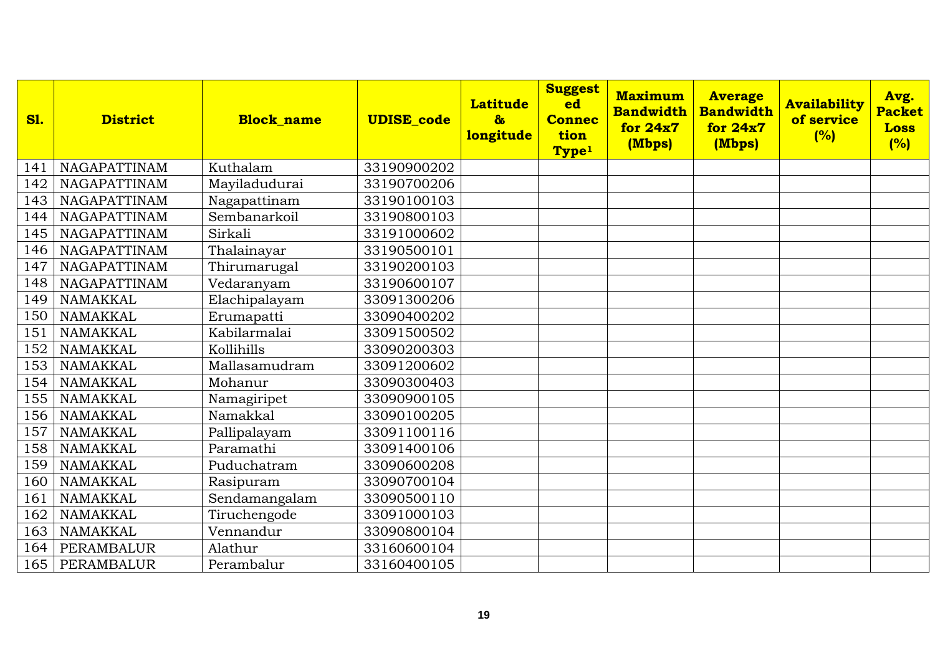| <b>S1.</b> | <b>District</b>     | <b>Block name</b> | <b>UDISE_code</b> | <b>Latitude</b><br>$\delta$<br>longitude | <b>Suggest</b><br>ed<br><b>Connec</b><br>tion<br>Type <sup>1</sup> | <b>Maximum</b><br><b>Bandwidth</b><br>for 24x7<br>(Mbps) | <b>Average</b><br><b>Bandwidth</b><br>for 24x7<br>(Mbps) | <b>Availability</b><br>of service<br>(%) | Avg.<br><b>Packet</b><br><b>Loss</b><br>(%) |
|------------|---------------------|-------------------|-------------------|------------------------------------------|--------------------------------------------------------------------|----------------------------------------------------------|----------------------------------------------------------|------------------------------------------|---------------------------------------------|
| 141        | NAGAPATTINAM        | Kuthalam          | 33190900202       |                                          |                                                                    |                                                          |                                                          |                                          |                                             |
| 142        | NAGAPATTINAM        | Mayiladudurai     | 33190700206       |                                          |                                                                    |                                                          |                                                          |                                          |                                             |
| 143        | NAGAPATTINAM        | Nagapattinam      | 33190100103       |                                          |                                                                    |                                                          |                                                          |                                          |                                             |
| 144        | NAGAPATTINAM        | Sembanarkoil      | 33190800103       |                                          |                                                                    |                                                          |                                                          |                                          |                                             |
| 145        | <b>NAGAPATTINAM</b> | Sirkali           | 33191000602       |                                          |                                                                    |                                                          |                                                          |                                          |                                             |
| 146        | NAGAPATTINAM        | Thalainayar       | 33190500101       |                                          |                                                                    |                                                          |                                                          |                                          |                                             |
| 147        | NAGAPATTINAM        | Thirumarugal      | 33190200103       |                                          |                                                                    |                                                          |                                                          |                                          |                                             |
| 148        | <b>NAGAPATTINAM</b> | Vedaranyam        | 33190600107       |                                          |                                                                    |                                                          |                                                          |                                          |                                             |
| 149        | <b>NAMAKKAL</b>     | Elachipalayam     | 33091300206       |                                          |                                                                    |                                                          |                                                          |                                          |                                             |
| 150        | NAMAKKAL            | Erumapatti        | 33090400202       |                                          |                                                                    |                                                          |                                                          |                                          |                                             |
| 151        | <b>NAMAKKAL</b>     | Kabilarmalai      | 33091500502       |                                          |                                                                    |                                                          |                                                          |                                          |                                             |
| 152        | <b>NAMAKKAL</b>     | Kollihills        | 33090200303       |                                          |                                                                    |                                                          |                                                          |                                          |                                             |
| 153        | <b>NAMAKKAL</b>     | Mallasamudram     | 33091200602       |                                          |                                                                    |                                                          |                                                          |                                          |                                             |
| 154        | <b>NAMAKKAL</b>     | Mohanur           | 33090300403       |                                          |                                                                    |                                                          |                                                          |                                          |                                             |
| 155        | <b>NAMAKKAL</b>     | Namagiripet       | 33090900105       |                                          |                                                                    |                                                          |                                                          |                                          |                                             |
| 156        | <b>NAMAKKAL</b>     | Namakkal          | 33090100205       |                                          |                                                                    |                                                          |                                                          |                                          |                                             |
| 157        | <b>NAMAKKAL</b>     | Pallipalayam      | 33091100116       |                                          |                                                                    |                                                          |                                                          |                                          |                                             |
| 158        | <b>NAMAKKAL</b>     | Paramathi         | 33091400106       |                                          |                                                                    |                                                          |                                                          |                                          |                                             |
| 159        | NAMAKKAL            | Puduchatram       | 33090600208       |                                          |                                                                    |                                                          |                                                          |                                          |                                             |
| 160        | <b>NAMAKKAL</b>     | Rasipuram         | 33090700104       |                                          |                                                                    |                                                          |                                                          |                                          |                                             |
| 161        | <b>NAMAKKAL</b>     | Sendamangalam     | 33090500110       |                                          |                                                                    |                                                          |                                                          |                                          |                                             |
| 162        | NAMAKKAL            | Tiruchengode      | 33091000103       |                                          |                                                                    |                                                          |                                                          |                                          |                                             |
| 163        | <b>NAMAKKAL</b>     | Vennandur         | 33090800104       |                                          |                                                                    |                                                          |                                                          |                                          |                                             |
| 164        | PERAMBALUR          | Alathur           | 33160600104       |                                          |                                                                    |                                                          |                                                          |                                          |                                             |
| 165        | <b>PERAMBALUR</b>   | Perambalur        | 33160400105       |                                          |                                                                    |                                                          |                                                          |                                          |                                             |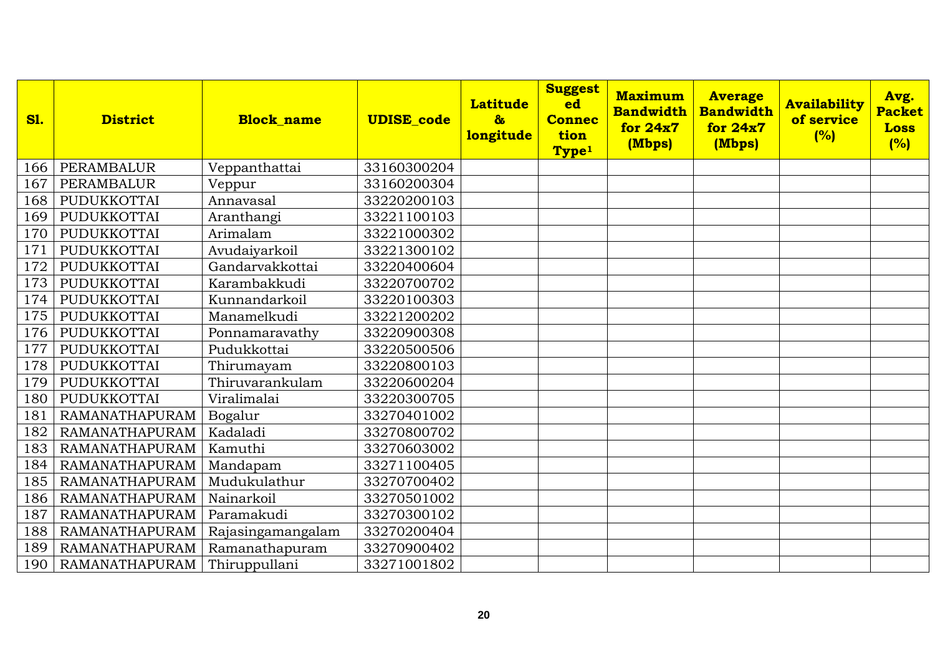| <b>S1.</b> | <b>District</b>       | <b>Block name</b> | <b>UDISE</b> code | <b>Latitude</b><br>$\mathbf{\alpha}$<br>longitude | <b>Suggest</b><br>ed<br><b>Connec</b><br>tion<br>Type <sup>1</sup> | <b>Maximum</b><br><b>Bandwidth</b><br>for 24x7<br>(Mbps) | <b>Average</b><br><b>Bandwidth</b><br>for 24x7<br>(Mbps) | <b>Availability</b><br>of service<br>(%) | Avg.<br><b>Packet</b><br><b>Loss</b><br>(%) |
|------------|-----------------------|-------------------|-------------------|---------------------------------------------------|--------------------------------------------------------------------|----------------------------------------------------------|----------------------------------------------------------|------------------------------------------|---------------------------------------------|
| 166        | <b>PERAMBALUR</b>     | Veppanthattai     | 33160300204       |                                                   |                                                                    |                                                          |                                                          |                                          |                                             |
| 167        | PERAMBALUR            | Veppur            | 33160200304       |                                                   |                                                                    |                                                          |                                                          |                                          |                                             |
| 168        | PUDUKKOTTAI           | Annavasal         | 33220200103       |                                                   |                                                                    |                                                          |                                                          |                                          |                                             |
| 169        | PUDUKKOTTAI           | Aranthangi        | 33221100103       |                                                   |                                                                    |                                                          |                                                          |                                          |                                             |
| 170        | PUDUKKOTTAI           | Arimalam          | 33221000302       |                                                   |                                                                    |                                                          |                                                          |                                          |                                             |
| 171        | PUDUKKOTTAI           | Avudaiyarkoil     | 33221300102       |                                                   |                                                                    |                                                          |                                                          |                                          |                                             |
| 172        | PUDUKKOTTAI           | Gandarvakkottai   | 33220400604       |                                                   |                                                                    |                                                          |                                                          |                                          |                                             |
| 173        | PUDUKKOTTAI           | Karambakkudi      | 33220700702       |                                                   |                                                                    |                                                          |                                                          |                                          |                                             |
| 174        | PUDUKKOTTAI           | Kunnandarkoil     | 33220100303       |                                                   |                                                                    |                                                          |                                                          |                                          |                                             |
| 175        | PUDUKKOTTAI           | Manamelkudi       | 33221200202       |                                                   |                                                                    |                                                          |                                                          |                                          |                                             |
| 176        | PUDUKKOTTAI           | Ponnamaravathy    | 33220900308       |                                                   |                                                                    |                                                          |                                                          |                                          |                                             |
| 177        | PUDUKKOTTAI           | Pudukkottai       | 33220500506       |                                                   |                                                                    |                                                          |                                                          |                                          |                                             |
| 178        | PUDUKKOTTAI           | Thirumayam        | 33220800103       |                                                   |                                                                    |                                                          |                                                          |                                          |                                             |
| 179        | PUDUKKOTTAI           | Thiruvarankulam   | 33220600204       |                                                   |                                                                    |                                                          |                                                          |                                          |                                             |
| 180        | PUDUKKOTTAI           | Viralimalai       | 33220300705       |                                                   |                                                                    |                                                          |                                                          |                                          |                                             |
| 181        | <b>RAMANATHAPURAM</b> | Bogalur           | 33270401002       |                                                   |                                                                    |                                                          |                                                          |                                          |                                             |
| 182        | <b>RAMANATHAPURAM</b> | Kadaladi          | 33270800702       |                                                   |                                                                    |                                                          |                                                          |                                          |                                             |
| 183        | <b>RAMANATHAPURAM</b> | Kamuthi           | 33270603002       |                                                   |                                                                    |                                                          |                                                          |                                          |                                             |
| 184        | <b>RAMANATHAPURAM</b> | Mandapam          | 33271100405       |                                                   |                                                                    |                                                          |                                                          |                                          |                                             |
| 185        | <b>RAMANATHAPURAM</b> | Mudukulathur      | 33270700402       |                                                   |                                                                    |                                                          |                                                          |                                          |                                             |
| 186        | <b>RAMANATHAPURAM</b> | Nainarkoil        | 33270501002       |                                                   |                                                                    |                                                          |                                                          |                                          |                                             |
| 187        | <b>RAMANATHAPURAM</b> | Paramakudi        | 33270300102       |                                                   |                                                                    |                                                          |                                                          |                                          |                                             |
| 188        | RAMANATHAPURAM        | Rajasingamangalam | 33270200404       |                                                   |                                                                    |                                                          |                                                          |                                          |                                             |
| 189        | <b>RAMANATHAPURAM</b> | Ramanathapuram    | 33270900402       |                                                   |                                                                    |                                                          |                                                          |                                          |                                             |
| 190        | RAMANATHAPURAM        | Thiruppullani     | 33271001802       |                                                   |                                                                    |                                                          |                                                          |                                          |                                             |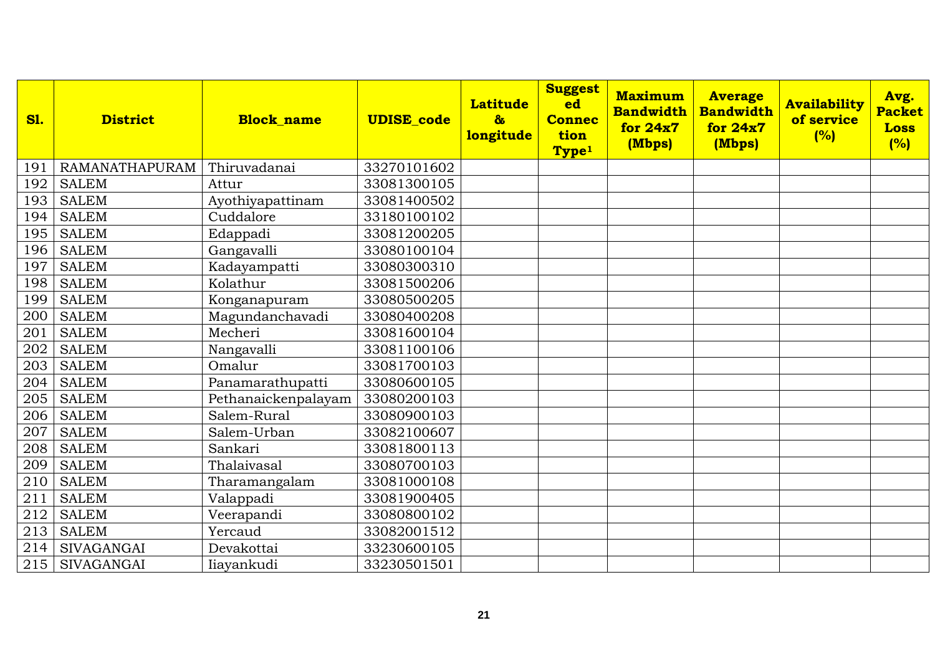| <b>S1.</b> | <b>District</b>       | <b>Block name</b>   | <b>UDISE</b> code | <b>Latitude</b><br>$\mathbf{\alpha}$<br>longitude | <b>Suggest</b><br>ed<br><b>Connec</b><br>tion<br>Type <sup>1</sup> | <b>Maximum</b><br><b>Bandwidth</b><br>for 24x7<br>(Mbps) | <b>Average</b><br><b>Bandwidth</b><br>for 24x7<br>(Mbps) | <b>Availability</b><br>of service<br>(%) | Avg.<br><b>Packet</b><br><b>Loss</b><br>(%) |
|------------|-----------------------|---------------------|-------------------|---------------------------------------------------|--------------------------------------------------------------------|----------------------------------------------------------|----------------------------------------------------------|------------------------------------------|---------------------------------------------|
| 191        | <b>RAMANATHAPURAM</b> | Thiruvadanai        | 33270101602       |                                                   |                                                                    |                                                          |                                                          |                                          |                                             |
| 192        | <b>SALEM</b>          | Attur               | 33081300105       |                                                   |                                                                    |                                                          |                                                          |                                          |                                             |
| 193        | <b>SALEM</b>          | Ayothiyapattinam    | 33081400502       |                                                   |                                                                    |                                                          |                                                          |                                          |                                             |
| 194        | <b>SALEM</b>          | Cuddalore           | 33180100102       |                                                   |                                                                    |                                                          |                                                          |                                          |                                             |
| 195        | <b>SALEM</b>          | Edappadi            | 33081200205       |                                                   |                                                                    |                                                          |                                                          |                                          |                                             |
| 196        | <b>SALEM</b>          | Gangavalli          | 33080100104       |                                                   |                                                                    |                                                          |                                                          |                                          |                                             |
| 197        | <b>SALEM</b>          | Kadayampatti        | 33080300310       |                                                   |                                                                    |                                                          |                                                          |                                          |                                             |
| 198        | <b>SALEM</b>          | Kolathur            | 33081500206       |                                                   |                                                                    |                                                          |                                                          |                                          |                                             |
| 199        | <b>SALEM</b>          | Konganapuram        | 33080500205       |                                                   |                                                                    |                                                          |                                                          |                                          |                                             |
| 200        | <b>SALEM</b>          | Magundanchavadi     | 33080400208       |                                                   |                                                                    |                                                          |                                                          |                                          |                                             |
| 201        | <b>SALEM</b>          | Mecheri             | 33081600104       |                                                   |                                                                    |                                                          |                                                          |                                          |                                             |
| 202        | <b>SALEM</b>          | Nangavalli          | 33081100106       |                                                   |                                                                    |                                                          |                                                          |                                          |                                             |
| 203        | <b>SALEM</b>          | Omalur              | 33081700103       |                                                   |                                                                    |                                                          |                                                          |                                          |                                             |
| 204        | <b>SALEM</b>          | Panamarathupatti    | 33080600105       |                                                   |                                                                    |                                                          |                                                          |                                          |                                             |
| 205        | <b>SALEM</b>          | Pethanaickenpalayam | 33080200103       |                                                   |                                                                    |                                                          |                                                          |                                          |                                             |
| 206        | <b>SALEM</b>          | Salem-Rural         | 33080900103       |                                                   |                                                                    |                                                          |                                                          |                                          |                                             |
| 207        | <b>SALEM</b>          | Salem-Urban         | 33082100607       |                                                   |                                                                    |                                                          |                                                          |                                          |                                             |
| 208        | <b>SALEM</b>          | Sankari             | 33081800113       |                                                   |                                                                    |                                                          |                                                          |                                          |                                             |
| 209        | <b>SALEM</b>          | Thalaivasal         | 33080700103       |                                                   |                                                                    |                                                          |                                                          |                                          |                                             |
| 210        | <b>SALEM</b>          | Tharamangalam       | 33081000108       |                                                   |                                                                    |                                                          |                                                          |                                          |                                             |
| 211        | <b>SALEM</b>          | Valappadi           | 33081900405       |                                                   |                                                                    |                                                          |                                                          |                                          |                                             |
| 212        | <b>SALEM</b>          | Veerapandi          | 33080800102       |                                                   |                                                                    |                                                          |                                                          |                                          |                                             |
| 213        | <b>SALEM</b>          | Yercaud             | 33082001512       |                                                   |                                                                    |                                                          |                                                          |                                          |                                             |
| 214        | <b>SIVAGANGAI</b>     | Devakottai          | 33230600105       |                                                   |                                                                    |                                                          |                                                          |                                          |                                             |
| 215        | SIVAGANGAI            | Iiayankudi          | 33230501501       |                                                   |                                                                    |                                                          |                                                          |                                          |                                             |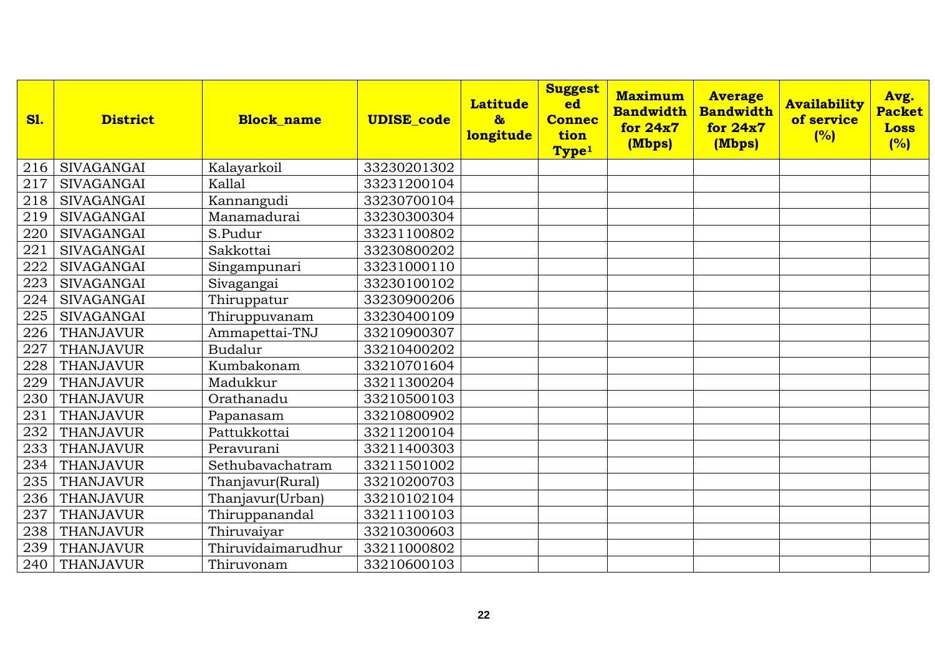| <b>S1.</b> | <b>District</b>   | <b>Block name</b>  | <b>UDISE_code</b> | <b>Latitude</b><br>$\boldsymbol{\delta}$<br>longitude | <b>Suggest</b><br>ed<br><b>Connec</b><br>tion<br>Type <sup>1</sup> | <b>Maximum</b><br><b>Bandwidth</b><br>for 24x7<br>(Mbps) | <b>Average</b><br><b>Bandwidth</b><br>for 24x7<br>(Mbps) | <b>Availability</b><br>of service<br>(%) | Avg.<br><b>Packet</b><br><b>Loss</b><br>(%) |
|------------|-------------------|--------------------|-------------------|-------------------------------------------------------|--------------------------------------------------------------------|----------------------------------------------------------|----------------------------------------------------------|------------------------------------------|---------------------------------------------|
| 216        | <b>SIVAGANGAI</b> | Kalayarkoil        | 33230201302       |                                                       |                                                                    |                                                          |                                                          |                                          |                                             |
| 217        | <b>SIVAGANGAI</b> | Kallal             | 33231200104       |                                                       |                                                                    |                                                          |                                                          |                                          |                                             |
| 218        | <b>SIVAGANGAI</b> | Kannangudi         | 33230700104       |                                                       |                                                                    |                                                          |                                                          |                                          |                                             |
| 219        | <b>SIVAGANGAI</b> | Manamadurai        | 33230300304       |                                                       |                                                                    |                                                          |                                                          |                                          |                                             |
| 220        | <b>SIVAGANGAI</b> | S.Pudur            | 33231100802       |                                                       |                                                                    |                                                          |                                                          |                                          |                                             |
| 221        | <b>SIVAGANGAI</b> | Sakkottai          | 33230800202       |                                                       |                                                                    |                                                          |                                                          |                                          |                                             |
| 222        | <b>SIVAGANGAI</b> | Singampunari       | 33231000110       |                                                       |                                                                    |                                                          |                                                          |                                          |                                             |
| 223        | <b>SIVAGANGAI</b> | Sivagangai         | 33230100102       |                                                       |                                                                    |                                                          |                                                          |                                          |                                             |
| 224        | <b>SIVAGANGAI</b> | Thiruppatur        | 33230900206       |                                                       |                                                                    |                                                          |                                                          |                                          |                                             |
| 225        | <b>SIVAGANGAI</b> | Thiruppuvanam      | 33230400109       |                                                       |                                                                    |                                                          |                                                          |                                          |                                             |
| 226        | <b>THANJAVUR</b>  | Ammapettai-TNJ     | 33210900307       |                                                       |                                                                    |                                                          |                                                          |                                          |                                             |
| 227        | <b>THANJAVUR</b>  | Budalur            | 33210400202       |                                                       |                                                                    |                                                          |                                                          |                                          |                                             |
| 228        | <b>THANJAVUR</b>  | Kumbakonam         | 33210701604       |                                                       |                                                                    |                                                          |                                                          |                                          |                                             |
| 229        | <b>THANJAVUR</b>  | Madukkur           | 33211300204       |                                                       |                                                                    |                                                          |                                                          |                                          |                                             |
| 230        | <b>THANJAVUR</b>  | Orathanadu         | 33210500103       |                                                       |                                                                    |                                                          |                                                          |                                          |                                             |
| 231        | <b>THANJAVUR</b>  | Papanasam          | 33210800902       |                                                       |                                                                    |                                                          |                                                          |                                          |                                             |
| 232        | <b>THANJAVUR</b>  | Pattukkottai       | 33211200104       |                                                       |                                                                    |                                                          |                                                          |                                          |                                             |
| 233        | <b>THANJAVUR</b>  | Peravurani         | 33211400303       |                                                       |                                                                    |                                                          |                                                          |                                          |                                             |
| 234        | <b>THANJAVUR</b>  | Sethubavachatram   | 33211501002       |                                                       |                                                                    |                                                          |                                                          |                                          |                                             |
| 235        | <b>THANJAVUR</b>  | Thanjavur(Rural)   | 33210200703       |                                                       |                                                                    |                                                          |                                                          |                                          |                                             |
| 236        | <b>THANJAVUR</b>  | Thanjavur(Urban)   | 33210102104       |                                                       |                                                                    |                                                          |                                                          |                                          |                                             |
| 237        | <b>THANJAVUR</b>  | Thiruppanandal     | 33211100103       |                                                       |                                                                    |                                                          |                                                          |                                          |                                             |
| 238        | <b>THANJAVUR</b>  | Thiruvaiyar        | 33210300603       |                                                       |                                                                    |                                                          |                                                          |                                          |                                             |
| 239        | <b>THANJAVUR</b>  | Thiruvidaimarudhur | 33211000802       |                                                       |                                                                    |                                                          |                                                          |                                          |                                             |
| 240        | <b>THANJAVUR</b>  | Thiruvonam         | 33210600103       |                                                       |                                                                    |                                                          |                                                          |                                          |                                             |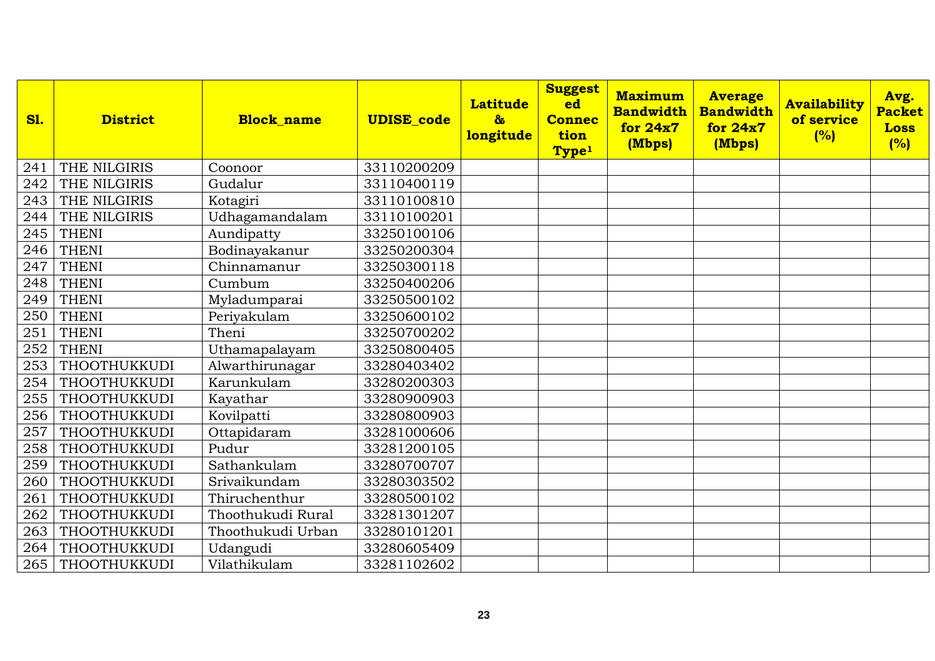| <b>S1.</b> | <b>District</b>     | <b>Block name</b> | <b>UDISE_code</b> | <b>Latitude</b><br>$\delta$<br>longitude | <b>Suggest</b><br>ed<br><b>Connec</b><br>tion<br>Type <sup>1</sup> | <b>Maximum</b><br><b>Bandwidth</b><br>for 24x7<br>(Mbps) | <b>Average</b><br><b>Bandwidth</b><br>for $24x7$<br>(Mbps) | <b>Availability</b><br>of service<br>(%) | Avg.<br><b>Packet</b><br><b>Loss</b><br>(%) |
|------------|---------------------|-------------------|-------------------|------------------------------------------|--------------------------------------------------------------------|----------------------------------------------------------|------------------------------------------------------------|------------------------------------------|---------------------------------------------|
| 241        | THE NILGIRIS        | Coonoor           | 33110200209       |                                          |                                                                    |                                                          |                                                            |                                          |                                             |
| 242        | THE NILGIRIS        | Gudalur           | 33110400119       |                                          |                                                                    |                                                          |                                                            |                                          |                                             |
| 243        | THE NILGIRIS        | Kotagiri          | 33110100810       |                                          |                                                                    |                                                          |                                                            |                                          |                                             |
| 244        | THE NILGIRIS        | Udhagamandalam    | 33110100201       |                                          |                                                                    |                                                          |                                                            |                                          |                                             |
| 245        | <b>THENI</b>        | Aundipatty        | 33250100106       |                                          |                                                                    |                                                          |                                                            |                                          |                                             |
| 246        | <b>THENI</b>        | Bodinayakanur     | 33250200304       |                                          |                                                                    |                                                          |                                                            |                                          |                                             |
| 247        | <b>THENI</b>        | Chinnamanur       | 33250300118       |                                          |                                                                    |                                                          |                                                            |                                          |                                             |
| 248        | <b>THENI</b>        | Cumbum            | 33250400206       |                                          |                                                                    |                                                          |                                                            |                                          |                                             |
| 249        | <b>THENI</b>        | Myladumparai      | 33250500102       |                                          |                                                                    |                                                          |                                                            |                                          |                                             |
| 250        | <b>THENI</b>        | Periyakulam       | 33250600102       |                                          |                                                                    |                                                          |                                                            |                                          |                                             |
| 251        | <b>THENI</b>        | Theni             | 33250700202       |                                          |                                                                    |                                                          |                                                            |                                          |                                             |
| 252        | <b>THENI</b>        | Uthamapalayam     | 33250800405       |                                          |                                                                    |                                                          |                                                            |                                          |                                             |
| 253        | THOOTHUKKUDI        | Alwarthirunagar   | 33280403402       |                                          |                                                                    |                                                          |                                                            |                                          |                                             |
| 254        | THOOTHUKKUDI        | Karunkulam        | 33280200303       |                                          |                                                                    |                                                          |                                                            |                                          |                                             |
| 255        | THOOTHUKKUDI        | Kayathar          | 33280900903       |                                          |                                                                    |                                                          |                                                            |                                          |                                             |
| 256        | THOOTHUKKUDI        | Kovilpatti        | 33280800903       |                                          |                                                                    |                                                          |                                                            |                                          |                                             |
| 257        | <b>THOOTHUKKUDI</b> | Ottapidaram       | 33281000606       |                                          |                                                                    |                                                          |                                                            |                                          |                                             |
| 258        | THOOTHUKKUDI        | Pudur             | 33281200105       |                                          |                                                                    |                                                          |                                                            |                                          |                                             |
| 259        | THOOTHUKKUDI        | Sathankulam       | 33280700707       |                                          |                                                                    |                                                          |                                                            |                                          |                                             |
| 260        | THOOTHUKKUDI        | Srivaikundam      | 33280303502       |                                          |                                                                    |                                                          |                                                            |                                          |                                             |
| 261        | THOOTHUKKUDI        | Thiruchenthur     | 33280500102       |                                          |                                                                    |                                                          |                                                            |                                          |                                             |
| 262        | THOOTHUKKUDI        | Thoothukudi Rural | 33281301207       |                                          |                                                                    |                                                          |                                                            |                                          |                                             |
| 263        | <b>THOOTHUKKUDI</b> | Thoothukudi Urban | 33280101201       |                                          |                                                                    |                                                          |                                                            |                                          |                                             |
| 264        | THOOTHUKKUDI        | Udangudi          | 33280605409       |                                          |                                                                    |                                                          |                                                            |                                          |                                             |
| 265        | THOOTHUKKUDI        | Vilathikulam      | 33281102602       |                                          |                                                                    |                                                          |                                                            |                                          |                                             |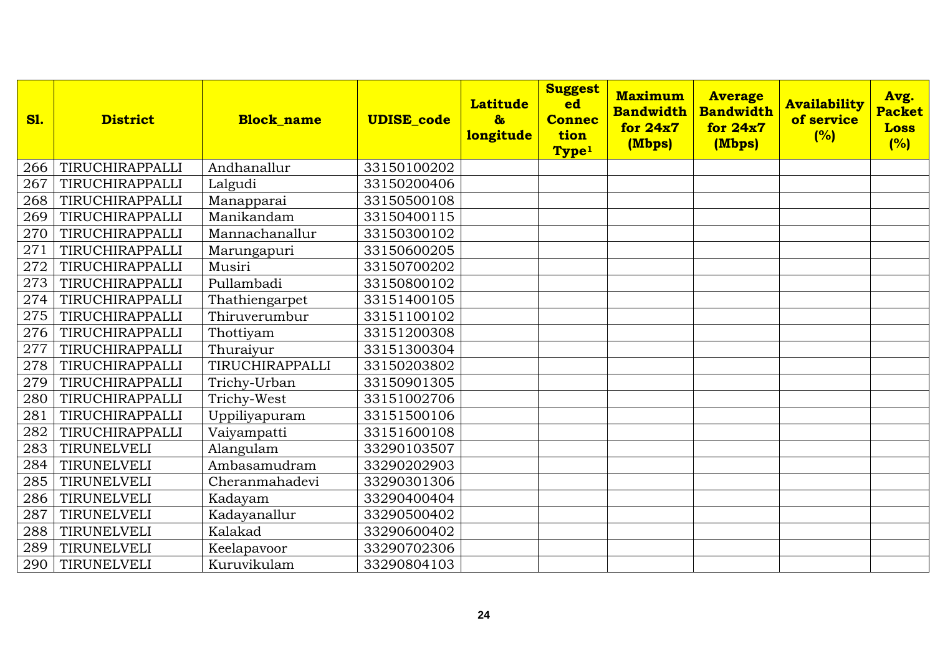| <b>S1.</b> | <b>District</b> | <b>Block name</b> | <b>UDISE_code</b> | <b>Latitude</b><br>$\delta$<br>longitude | <b>Suggest</b><br>ed<br><b>Connec</b><br>tion<br>Type <sup>1</sup> | <b>Maximum</b><br><b>Bandwidth</b><br>for 24x7<br>(Mbps) | <b>Average</b><br><b>Bandwidth</b><br>for 24x7<br>(Mbps) | <b>Availability</b><br>of service<br>(%) | Avg.<br><b>Packet</b><br><b>Loss</b><br>(%) |
|------------|-----------------|-------------------|-------------------|------------------------------------------|--------------------------------------------------------------------|----------------------------------------------------------|----------------------------------------------------------|------------------------------------------|---------------------------------------------|
| 266        | TIRUCHIRAPPALLI | Andhanallur       | 33150100202       |                                          |                                                                    |                                                          |                                                          |                                          |                                             |
| 267        | TIRUCHIRAPPALLI | Lalgudi           | 33150200406       |                                          |                                                                    |                                                          |                                                          |                                          |                                             |
| 268        | TIRUCHIRAPPALLI | Manapparai        | 33150500108       |                                          |                                                                    |                                                          |                                                          |                                          |                                             |
| 269        | TIRUCHIRAPPALLI | Manikandam        | 33150400115       |                                          |                                                                    |                                                          |                                                          |                                          |                                             |
| 270        | TIRUCHIRAPPALLI | Mannachanallur    | 33150300102       |                                          |                                                                    |                                                          |                                                          |                                          |                                             |
| 271        | TIRUCHIRAPPALLI | Marungapuri       | 33150600205       |                                          |                                                                    |                                                          |                                                          |                                          |                                             |
| 272        | TIRUCHIRAPPALLI | Musiri            | 33150700202       |                                          |                                                                    |                                                          |                                                          |                                          |                                             |
| 273        | TIRUCHIRAPPALLI | Pullambadi        | 33150800102       |                                          |                                                                    |                                                          |                                                          |                                          |                                             |
| 274        | TIRUCHIRAPPALLI | Thathiengarpet    | 33151400105       |                                          |                                                                    |                                                          |                                                          |                                          |                                             |
| 275        | TIRUCHIRAPPALLI | Thiruverumbur     | 33151100102       |                                          |                                                                    |                                                          |                                                          |                                          |                                             |
| 276        | TIRUCHIRAPPALLI | Thottiyam         | 33151200308       |                                          |                                                                    |                                                          |                                                          |                                          |                                             |
| 277        | TIRUCHIRAPPALLI | Thuraiyur         | 33151300304       |                                          |                                                                    |                                                          |                                                          |                                          |                                             |
| 278        | TIRUCHIRAPPALLI | TIRUCHIRAPPALLI   | 33150203802       |                                          |                                                                    |                                                          |                                                          |                                          |                                             |
| 279        | TIRUCHIRAPPALLI | Trichy-Urban      | 33150901305       |                                          |                                                                    |                                                          |                                                          |                                          |                                             |
| 280        | TIRUCHIRAPPALLI | Trichy-West       | 33151002706       |                                          |                                                                    |                                                          |                                                          |                                          |                                             |
| 281        | TIRUCHIRAPPALLI | Uppiliyapuram     | 33151500106       |                                          |                                                                    |                                                          |                                                          |                                          |                                             |
| 282        | TIRUCHIRAPPALLI | Vaiyampatti       | 33151600108       |                                          |                                                                    |                                                          |                                                          |                                          |                                             |
| 283        | TIRUNELVELI     | Alangulam         | 33290103507       |                                          |                                                                    |                                                          |                                                          |                                          |                                             |
| 284        | TIRUNELVELI     | Ambasamudram      | 33290202903       |                                          |                                                                    |                                                          |                                                          |                                          |                                             |
| 285        | TIRUNELVELI     | Cheranmahadevi    | 33290301306       |                                          |                                                                    |                                                          |                                                          |                                          |                                             |
| 286        | TIRUNELVELI     | Kadayam           | 33290400404       |                                          |                                                                    |                                                          |                                                          |                                          |                                             |
| 287        | TIRUNELVELI     | Kadayanallur      | 33290500402       |                                          |                                                                    |                                                          |                                                          |                                          |                                             |
| 288        | TIRUNELVELI     | Kalakad           | 33290600402       |                                          |                                                                    |                                                          |                                                          |                                          |                                             |
| 289        | TIRUNELVELI     | Keelapavoor       | 33290702306       |                                          |                                                                    |                                                          |                                                          |                                          |                                             |
| 290        | TIRUNELVELI     | Kuruvikulam       | 33290804103       |                                          |                                                                    |                                                          |                                                          |                                          |                                             |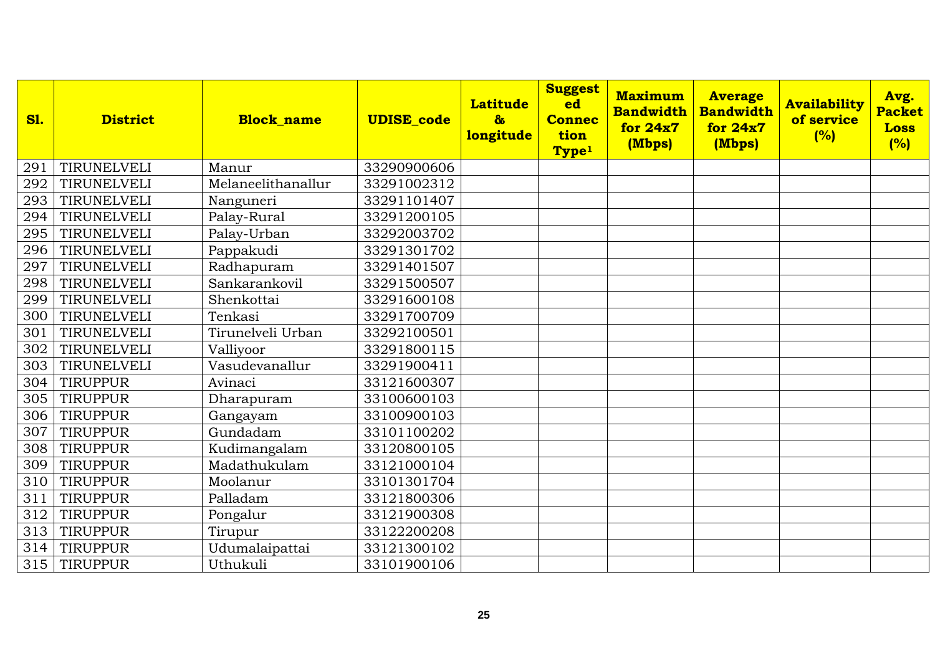| <b>S1.</b> | <b>District</b> | <b>Block name</b>  | <b>UDISE_code</b> | <b>Latitude</b><br>$\delta$<br>longitude | <b>Suggest</b><br>ed<br><b>Connec</b><br>tion<br>Type <sup>1</sup> | <b>Maximum</b><br><b>Bandwidth</b><br>for 24x7<br>(Mbps) | <b>Average</b><br><b>Bandwidth</b><br>for $24x7$<br>(Mbps) | <b>Availability</b><br>of service<br>(%) | Avg.<br><b>Packet</b><br><b>Loss</b><br>(%) |
|------------|-----------------|--------------------|-------------------|------------------------------------------|--------------------------------------------------------------------|----------------------------------------------------------|------------------------------------------------------------|------------------------------------------|---------------------------------------------|
| 291        | TIRUNELVELI     | Manur              | 33290900606       |                                          |                                                                    |                                                          |                                                            |                                          |                                             |
| 292        | TIRUNELVELI     | Melaneelithanallur | 33291002312       |                                          |                                                                    |                                                          |                                                            |                                          |                                             |
| 293        | TIRUNELVELI     | Nanguneri          | 33291101407       |                                          |                                                                    |                                                          |                                                            |                                          |                                             |
| 294        | TIRUNELVELI     | Palay-Rural        | 33291200105       |                                          |                                                                    |                                                          |                                                            |                                          |                                             |
| 295        | TIRUNELVELI     | Palay-Urban        | 33292003702       |                                          |                                                                    |                                                          |                                                            |                                          |                                             |
| 296        | TIRUNELVELI     | Pappakudi          | 33291301702       |                                          |                                                                    |                                                          |                                                            |                                          |                                             |
| 297        | TIRUNELVELI     | Radhapuram         | 33291401507       |                                          |                                                                    |                                                          |                                                            |                                          |                                             |
| 298        | TIRUNELVELI     | Sankarankovil      | 33291500507       |                                          |                                                                    |                                                          |                                                            |                                          |                                             |
| 299        | TIRUNELVELI     | Shenkottai         | 33291600108       |                                          |                                                                    |                                                          |                                                            |                                          |                                             |
| 300        | TIRUNELVELI     | Tenkasi            | 33291700709       |                                          |                                                                    |                                                          |                                                            |                                          |                                             |
| 301        | TIRUNELVELI     | Tirunelveli Urban  | 33292100501       |                                          |                                                                    |                                                          |                                                            |                                          |                                             |
| 302        | TIRUNELVELI     | Valliyoor          | 33291800115       |                                          |                                                                    |                                                          |                                                            |                                          |                                             |
| 303        | TIRUNELVELI     | Vasudevanallur     | 33291900411       |                                          |                                                                    |                                                          |                                                            |                                          |                                             |
| 304        | TIRUPPUR        | Avinaci            | 33121600307       |                                          |                                                                    |                                                          |                                                            |                                          |                                             |
| 305        | <b>TIRUPPUR</b> | Dharapuram         | 33100600103       |                                          |                                                                    |                                                          |                                                            |                                          |                                             |
| 306        | TIRUPPUR        | Gangayam           | 33100900103       |                                          |                                                                    |                                                          |                                                            |                                          |                                             |
| 307        | <b>TIRUPPUR</b> | Gundadam           | 33101100202       |                                          |                                                                    |                                                          |                                                            |                                          |                                             |
| 308        | TIRUPPUR        | Kudimangalam       | 33120800105       |                                          |                                                                    |                                                          |                                                            |                                          |                                             |
| 309        | <b>TIRUPPUR</b> | Madathukulam       | 33121000104       |                                          |                                                                    |                                                          |                                                            |                                          |                                             |
| 310        | <b>TIRUPPUR</b> | Moolanur           | 33101301704       |                                          |                                                                    |                                                          |                                                            |                                          |                                             |
| 311        | <b>TIRUPPUR</b> | Palladam           | 33121800306       |                                          |                                                                    |                                                          |                                                            |                                          |                                             |
| 312        | TIRUPPUR        | Pongalur           | 33121900308       |                                          |                                                                    |                                                          |                                                            |                                          |                                             |
| 313        | <b>TIRUPPUR</b> | Tirupur            | 33122200208       |                                          |                                                                    |                                                          |                                                            |                                          |                                             |
| 314        | <b>TIRUPPUR</b> | Udumalaipattai     | 33121300102       |                                          |                                                                    |                                                          |                                                            |                                          |                                             |
| 315        | TIRUPPUR        | Uthukuli           | 33101900106       |                                          |                                                                    |                                                          |                                                            |                                          |                                             |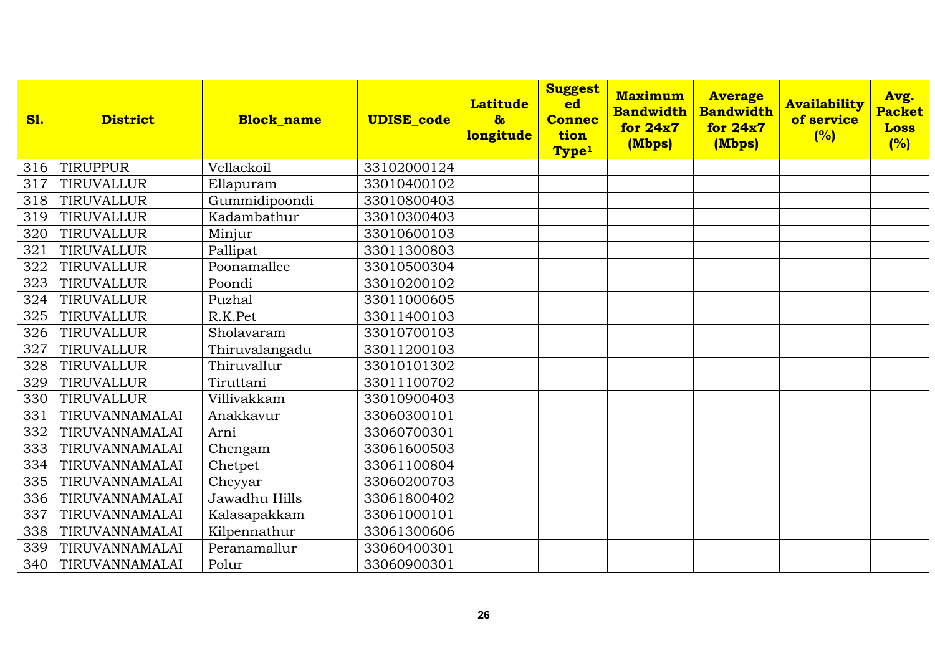| <b>S1.</b> | <b>District</b> | <b>Block name</b> | <b>UDISE_code</b> | <b>Latitude</b><br>$\delta$<br>longitude | <b>Suggest</b><br>ed<br><b>Connec</b><br>tion<br>Type <sup>1</sup> | <b>Maximum</b><br><b>Bandwidth</b><br>for 24x7<br>(Mbps) | <b>Average</b><br><b>Bandwidth</b><br>for 24x7<br>(Mbps) | <b>Availability</b><br>of service<br>(%) | Avg.<br><b>Packet</b><br><b>Loss</b><br>(%) |
|------------|-----------------|-------------------|-------------------|------------------------------------------|--------------------------------------------------------------------|----------------------------------------------------------|----------------------------------------------------------|------------------------------------------|---------------------------------------------|
| 316        | <b>TIRUPPUR</b> | Vellackoil        | 33102000124       |                                          |                                                                    |                                                          |                                                          |                                          |                                             |
| 317        | TIRUVALLUR      | Ellapuram         | 33010400102       |                                          |                                                                    |                                                          |                                                          |                                          |                                             |
| 318        | TIRUVALLUR      | Gummidipoondi     | 33010800403       |                                          |                                                                    |                                                          |                                                          |                                          |                                             |
| 319        | TIRUVALLUR      | Kadambathur       | 33010300403       |                                          |                                                                    |                                                          |                                                          |                                          |                                             |
| 320        | TIRUVALLUR      | Minjur            | 33010600103       |                                          |                                                                    |                                                          |                                                          |                                          |                                             |
| 321        | TIRUVALLUR      | Pallipat          | 33011300803       |                                          |                                                                    |                                                          |                                                          |                                          |                                             |
| 322        | TIRUVALLUR      | Poonamallee       | 33010500304       |                                          |                                                                    |                                                          |                                                          |                                          |                                             |
| 323        | TIRUVALLUR      | Poondi            | 33010200102       |                                          |                                                                    |                                                          |                                                          |                                          |                                             |
| 324        | TIRUVALLUR      | Puzhal            | 33011000605       |                                          |                                                                    |                                                          |                                                          |                                          |                                             |
| 325        | TIRUVALLUR      | R.K.Pet           | 33011400103       |                                          |                                                                    |                                                          |                                                          |                                          |                                             |
| 326        | TIRUVALLUR      | Sholavaram        | 33010700103       |                                          |                                                                    |                                                          |                                                          |                                          |                                             |
| 327        | TIRUVALLUR      | Thiruvalangadu    | 33011200103       |                                          |                                                                    |                                                          |                                                          |                                          |                                             |
| 328        | TIRUVALLUR      | Thiruvallur       | 33010101302       |                                          |                                                                    |                                                          |                                                          |                                          |                                             |
| 329        | TIRUVALLUR      | Tiruttani         | 33011100702       |                                          |                                                                    |                                                          |                                                          |                                          |                                             |
| 330        | TIRUVALLUR      | Villivakkam       | 33010900403       |                                          |                                                                    |                                                          |                                                          |                                          |                                             |
| 331        | TIRUVANNAMALAI  | Anakkavur         | 33060300101       |                                          |                                                                    |                                                          |                                                          |                                          |                                             |
| 332        | TIRUVANNAMALAI  | Arni              | 33060700301       |                                          |                                                                    |                                                          |                                                          |                                          |                                             |
| 333        | TIRUVANNAMALAI  | Chengam           | 33061600503       |                                          |                                                                    |                                                          |                                                          |                                          |                                             |
| 334        | TIRUVANNAMALAI  | Chetpet           | 33061100804       |                                          |                                                                    |                                                          |                                                          |                                          |                                             |
| 335        | TIRUVANNAMALAI  | Cheyyar           | 33060200703       |                                          |                                                                    |                                                          |                                                          |                                          |                                             |
| 336        | TIRUVANNAMALAI  | Jawadhu Hills     | 33061800402       |                                          |                                                                    |                                                          |                                                          |                                          |                                             |
| 337        | TIRUVANNAMALAI  | Kalasapakkam      | 33061000101       |                                          |                                                                    |                                                          |                                                          |                                          |                                             |
| 338        | TIRUVANNAMALAI  | Kilpennathur      | 33061300606       |                                          |                                                                    |                                                          |                                                          |                                          |                                             |
| 339        | TIRUVANNAMALAI  | Peranamallur      | 33060400301       |                                          |                                                                    |                                                          |                                                          |                                          |                                             |
| 340        | TIRUVANNAMALAI  | Polur             | 33060900301       |                                          |                                                                    |                                                          |                                                          |                                          |                                             |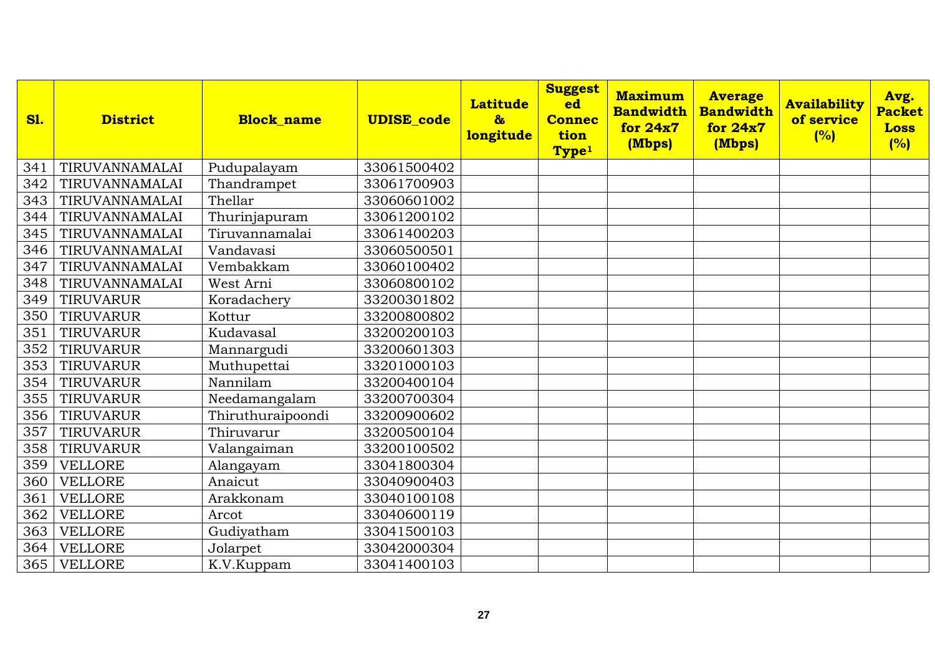| <b>S1.</b> | <b>District</b>  | <b>Block name</b> | <b>UDISE_code</b> | <b>Latitude</b><br>$\boldsymbol{\delta}$<br>longitude | <b>Suggest</b><br>ed<br><b>Connec</b><br>tion<br>Type <sup>1</sup> | <b>Maximum</b><br><b>Bandwidth</b><br>for 24x7<br>(Mbps) | <b>Average</b><br><b>Bandwidth</b><br>for 24x7<br>(Mbps) | <b>Availability</b><br>of service<br>(%) | Avg.<br><b>Packet</b><br><b>Loss</b><br>(%) |
|------------|------------------|-------------------|-------------------|-------------------------------------------------------|--------------------------------------------------------------------|----------------------------------------------------------|----------------------------------------------------------|------------------------------------------|---------------------------------------------|
| 341        | TIRUVANNAMALAI   | Pudupalayam       | 33061500402       |                                                       |                                                                    |                                                          |                                                          |                                          |                                             |
| 342        | TIRUVANNAMALAI   | Thandrampet       | 33061700903       |                                                       |                                                                    |                                                          |                                                          |                                          |                                             |
| 343        | TIRUVANNAMALAI   | Thellar           | 33060601002       |                                                       |                                                                    |                                                          |                                                          |                                          |                                             |
| 344        | TIRUVANNAMALAI   | Thurinjapuram     | 33061200102       |                                                       |                                                                    |                                                          |                                                          |                                          |                                             |
| 345        | TIRUVANNAMALAI   | Tiruvannamalai    | 33061400203       |                                                       |                                                                    |                                                          |                                                          |                                          |                                             |
| 346        | TIRUVANNAMALAI   | Vandavasi         | 33060500501       |                                                       |                                                                    |                                                          |                                                          |                                          |                                             |
| 347        | TIRUVANNAMALAI   | Vembakkam         | 33060100402       |                                                       |                                                                    |                                                          |                                                          |                                          |                                             |
| 348        | TIRUVANNAMALAI   | West Arni         | 33060800102       |                                                       |                                                                    |                                                          |                                                          |                                          |                                             |
| 349        | TIRUVARUR        | Koradachery       | 33200301802       |                                                       |                                                                    |                                                          |                                                          |                                          |                                             |
| 350        | TIRUVARUR        | Kottur            | 33200800802       |                                                       |                                                                    |                                                          |                                                          |                                          |                                             |
| 351        | <b>TIRUVARUR</b> | Kudavasal         | 33200200103       |                                                       |                                                                    |                                                          |                                                          |                                          |                                             |
| 352        | <b>TIRUVARUR</b> | Mannargudi        | 33200601303       |                                                       |                                                                    |                                                          |                                                          |                                          |                                             |
| 353        | TIRUVARUR        | Muthupettai       | 33201000103       |                                                       |                                                                    |                                                          |                                                          |                                          |                                             |
| 354        | TIRUVARUR        | Nannilam          | 33200400104       |                                                       |                                                                    |                                                          |                                                          |                                          |                                             |
| 355        | TIRUVARUR        | Needamangalam     | 33200700304       |                                                       |                                                                    |                                                          |                                                          |                                          |                                             |
| 356        | TIRUVARUR        | Thiruthuraipoondi | 33200900602       |                                                       |                                                                    |                                                          |                                                          |                                          |                                             |
| 357        | <b>TIRUVARUR</b> | Thiruvarur        | 33200500104       |                                                       |                                                                    |                                                          |                                                          |                                          |                                             |
| 358        | TIRUVARUR        | Valangaiman       | 33200100502       |                                                       |                                                                    |                                                          |                                                          |                                          |                                             |
| 359        | <b>VELLORE</b>   | Alangayam         | 33041800304       |                                                       |                                                                    |                                                          |                                                          |                                          |                                             |
| 360        | <b>VELLORE</b>   | Anaicut           | 33040900403       |                                                       |                                                                    |                                                          |                                                          |                                          |                                             |
| 361        | <b>VELLORE</b>   | Arakkonam         | 33040100108       |                                                       |                                                                    |                                                          |                                                          |                                          |                                             |
| 362        | <b>VELLORE</b>   | Arcot             | 33040600119       |                                                       |                                                                    |                                                          |                                                          |                                          |                                             |
| 363        | <b>VELLORE</b>   | Gudiyatham        | 33041500103       |                                                       |                                                                    |                                                          |                                                          |                                          |                                             |
| 364        | <b>VELLORE</b>   | Jolarpet          | 33042000304       |                                                       |                                                                    |                                                          |                                                          |                                          |                                             |
| 365        | <b>VELLORE</b>   | K.V.Kuppam        | 33041400103       |                                                       |                                                                    |                                                          |                                                          |                                          |                                             |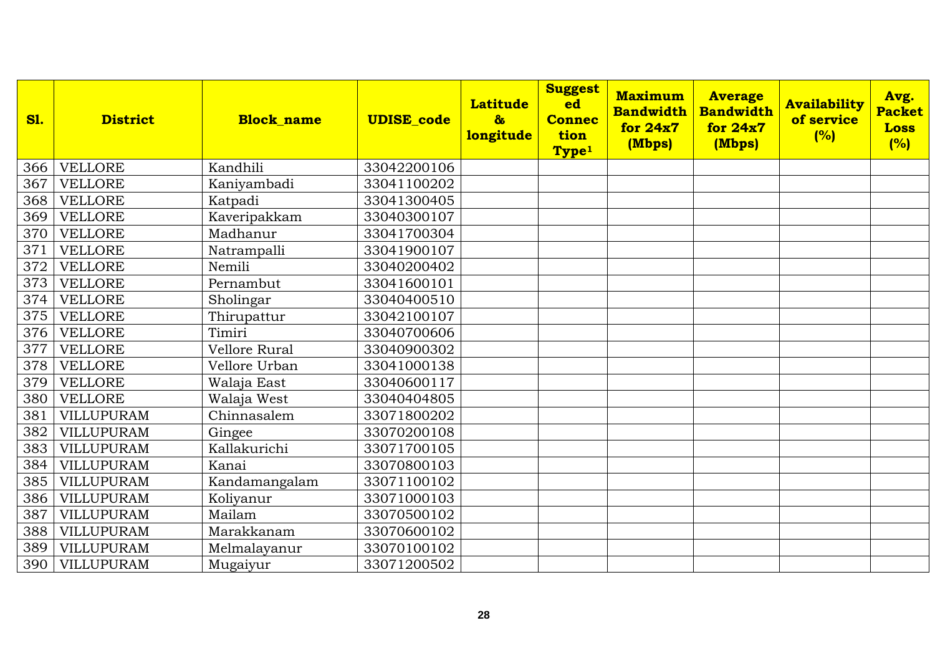| <b>S1.</b> | <b>District</b>   | <b>Block name</b> | <b>UDISE_code</b> | <b>Latitude</b><br>$\delta$<br>longitude | <b>Suggest</b><br>ed<br><b>Connec</b><br>tion<br>Type <sup>1</sup> | <b>Maximum</b><br><b>Bandwidth</b><br>for 24x7<br>(Mbps) | <b>Average</b><br><b>Bandwidth</b><br>for 24x7<br>(Mbps) | <b>Availability</b><br>of service<br>(%) | Avg.<br><b>Packet</b><br><b>Loss</b><br>(%) |
|------------|-------------------|-------------------|-------------------|------------------------------------------|--------------------------------------------------------------------|----------------------------------------------------------|----------------------------------------------------------|------------------------------------------|---------------------------------------------|
| 366        | VELLORE           | Kandhili          | 33042200106       |                                          |                                                                    |                                                          |                                                          |                                          |                                             |
| 367        | <b>VELLORE</b>    | Kaniyambadi       | 33041100202       |                                          |                                                                    |                                                          |                                                          |                                          |                                             |
| 368        | <b>VELLORE</b>    | Katpadi           | 33041300405       |                                          |                                                                    |                                                          |                                                          |                                          |                                             |
| 369        | <b>VELLORE</b>    | Kaveripakkam      | 33040300107       |                                          |                                                                    |                                                          |                                                          |                                          |                                             |
| 370        | <b>VELLORE</b>    | Madhanur          | 33041700304       |                                          |                                                                    |                                                          |                                                          |                                          |                                             |
| 371        | <b>VELLORE</b>    | Natrampalli       | 33041900107       |                                          |                                                                    |                                                          |                                                          |                                          |                                             |
| 372        | <b>VELLORE</b>    | Nemili            | 33040200402       |                                          |                                                                    |                                                          |                                                          |                                          |                                             |
| 373        | <b>VELLORE</b>    | Pernambut         | 33041600101       |                                          |                                                                    |                                                          |                                                          |                                          |                                             |
| 374        | <b>VELLORE</b>    | Sholingar         | 33040400510       |                                          |                                                                    |                                                          |                                                          |                                          |                                             |
| 375        | <b>VELLORE</b>    | Thirupattur       | 33042100107       |                                          |                                                                    |                                                          |                                                          |                                          |                                             |
| 376        | <b>VELLORE</b>    | Timiri            | 33040700606       |                                          |                                                                    |                                                          |                                                          |                                          |                                             |
| 377        | <b>VELLORE</b>    | Vellore Rural     | 33040900302       |                                          |                                                                    |                                                          |                                                          |                                          |                                             |
| 378        | <b>VELLORE</b>    | Vellore Urban     | 33041000138       |                                          |                                                                    |                                                          |                                                          |                                          |                                             |
| 379        | <b>VELLORE</b>    | Walaja East       | 33040600117       |                                          |                                                                    |                                                          |                                                          |                                          |                                             |
| 380        | <b>VELLORE</b>    | Walaja West       | 33040404805       |                                          |                                                                    |                                                          |                                                          |                                          |                                             |
| 381        | VILLUPURAM        | Chinnasalem       | 33071800202       |                                          |                                                                    |                                                          |                                                          |                                          |                                             |
| 382        | VILLUPURAM        | Gingee            | 33070200108       |                                          |                                                                    |                                                          |                                                          |                                          |                                             |
| 383        | VILLUPURAM        | Kallakurichi      | 33071700105       |                                          |                                                                    |                                                          |                                                          |                                          |                                             |
| 384        | <b>VILLUPURAM</b> | Kanai             | 33070800103       |                                          |                                                                    |                                                          |                                                          |                                          |                                             |
| 385        | VILLUPURAM        | Kandamangalam     | 33071100102       |                                          |                                                                    |                                                          |                                                          |                                          |                                             |
| 386        | VILLUPURAM        | Koliyanur         | 33071000103       |                                          |                                                                    |                                                          |                                                          |                                          |                                             |
| 387        | VILLUPURAM        | Mailam            | 33070500102       |                                          |                                                                    |                                                          |                                                          |                                          |                                             |
| 388        | <b>VILLUPURAM</b> | Marakkanam        | 33070600102       |                                          |                                                                    |                                                          |                                                          |                                          |                                             |
| 389        | VILLUPURAM        | Melmalayanur      | 33070100102       |                                          |                                                                    |                                                          |                                                          |                                          |                                             |
| 390        | VILLUPURAM        | Mugaiyur          | 33071200502       |                                          |                                                                    |                                                          |                                                          |                                          |                                             |